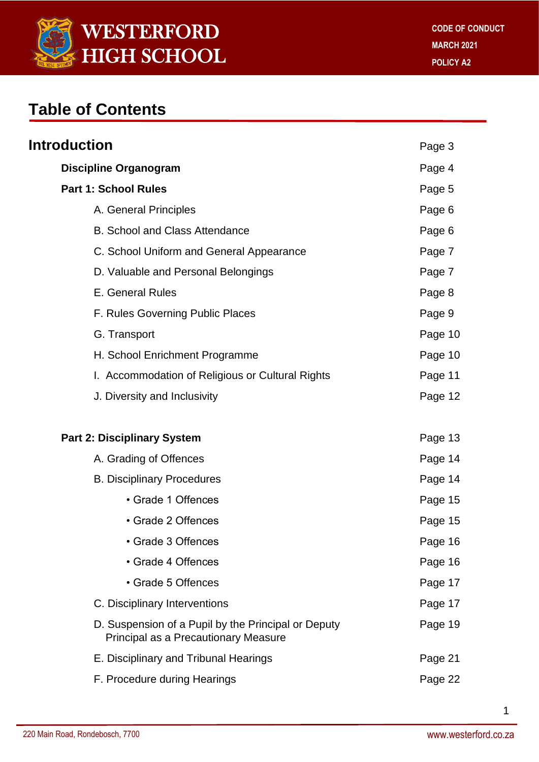

## **Table of Contents**

| Introduction                                                                                | Page 3  |
|---------------------------------------------------------------------------------------------|---------|
| <b>Discipline Organogram</b>                                                                | Page 4  |
| <b>Part 1: School Rules</b>                                                                 | Page 5  |
| A. General Principles                                                                       | Page 6  |
| <b>B. School and Class Attendance</b>                                                       | Page 6  |
| C. School Uniform and General Appearance                                                    | Page 7  |
| D. Valuable and Personal Belongings                                                         | Page 7  |
| E. General Rules                                                                            | Page 8  |
| F. Rules Governing Public Places                                                            | Page 9  |
| G. Transport                                                                                | Page 10 |
| H. School Enrichment Programme                                                              | Page 10 |
| I. Accommodation of Religious or Cultural Rights                                            | Page 11 |
| J. Diversity and Inclusivity                                                                | Page 12 |
| <b>Part 2: Disciplinary System</b>                                                          | Page 13 |
| A. Grading of Offences                                                                      | Page 14 |
| <b>B. Disciplinary Procedures</b>                                                           | Page 14 |
| • Grade 1 Offences                                                                          | Page 15 |
| • Grade 2 Offences                                                                          | Page 15 |
| • Grade 3 Offences                                                                          | Page 16 |
| • Grade 4 Offences                                                                          | Page 16 |
| • Grade 5 Offences                                                                          | Page 17 |
| C. Disciplinary Interventions                                                               | Page 17 |
| D. Suspension of a Pupil by the Principal or Deputy<br>Principal as a Precautionary Measure | Page 19 |
| E. Disciplinary and Tribunal Hearings                                                       | Page 21 |
| F. Procedure during Hearings                                                                | Page 22 |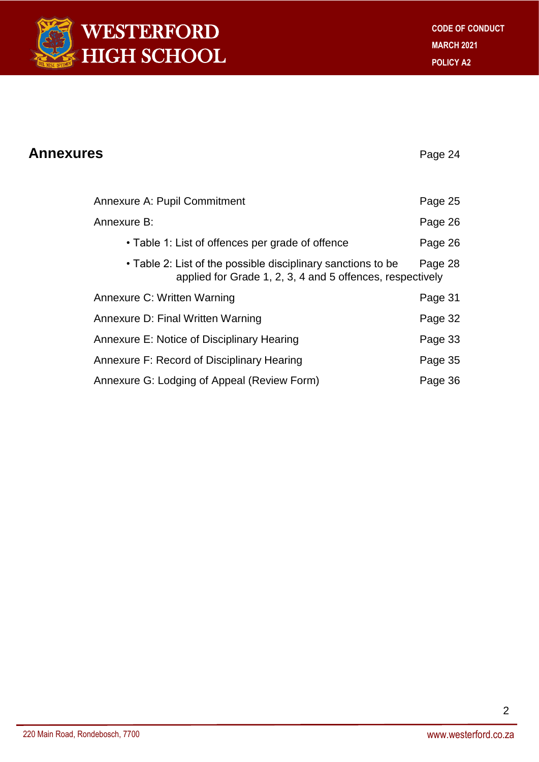

| <b>Annexures</b> |                                                                                                                           | Page 24 |
|------------------|---------------------------------------------------------------------------------------------------------------------------|---------|
|                  | <b>Annexure A: Pupil Commitment</b>                                                                                       | Page 25 |
|                  | Annexure B:                                                                                                               | Page 26 |
|                  | • Table 1: List of offences per grade of offence                                                                          | Page 26 |
|                  | • Table 2: List of the possible disciplinary sanctions to be<br>applied for Grade 1, 2, 3, 4 and 5 offences, respectively | Page 28 |
|                  | Annexure C: Written Warning                                                                                               | Page 31 |
|                  | Annexure D: Final Written Warning                                                                                         | Page 32 |
|                  | Annexure E: Notice of Disciplinary Hearing                                                                                | Page 33 |
|                  | Annexure F: Record of Disciplinary Hearing                                                                                | Page 35 |
|                  | Annexure G: Lodging of Appeal (Review Form)                                                                               | Page 36 |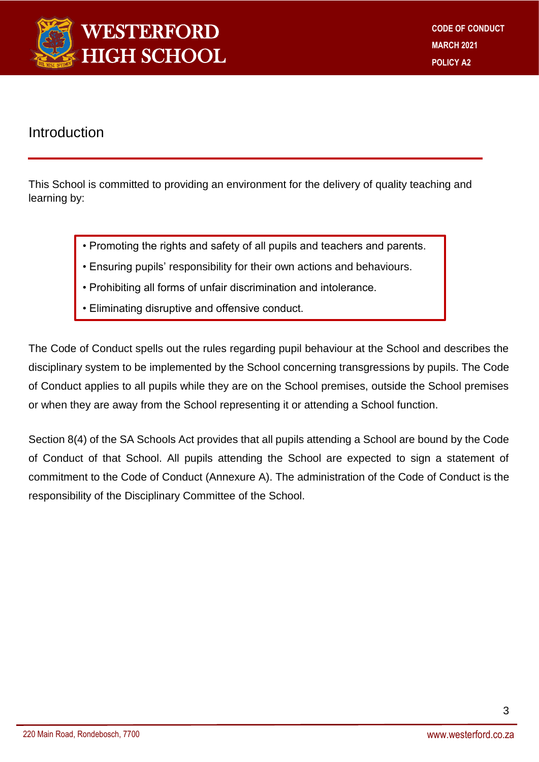

### Introduction

This School is committed to providing an environment for the delivery of quality teaching and learning by:

- Promoting the rights and safety of all pupils and teachers and parents.
- Ensuring pupils' responsibility for their own actions and behaviours.
- Prohibiting all forms of unfair discrimination and intolerance.
- Eliminating disruptive and offensive conduct.

The Code of Conduct spells out the rules regarding pupil behaviour at the School and describes the disciplinary system to be implemented by the School concerning transgressions by pupils. The Code of Conduct applies to all pupils while they are on the School premises, outside the School premises or when they are away from the School representing it or attending a School function.

Section 8(4) of the SA Schools Act provides that all pupils attending a School are bound by the Code of Conduct of that School. All pupils attending the School are expected to sign a statement of commitment to the Code of Conduct (Annexure A). The administration of the Code of Conduct is the responsibility of the Disciplinary Committee of the School.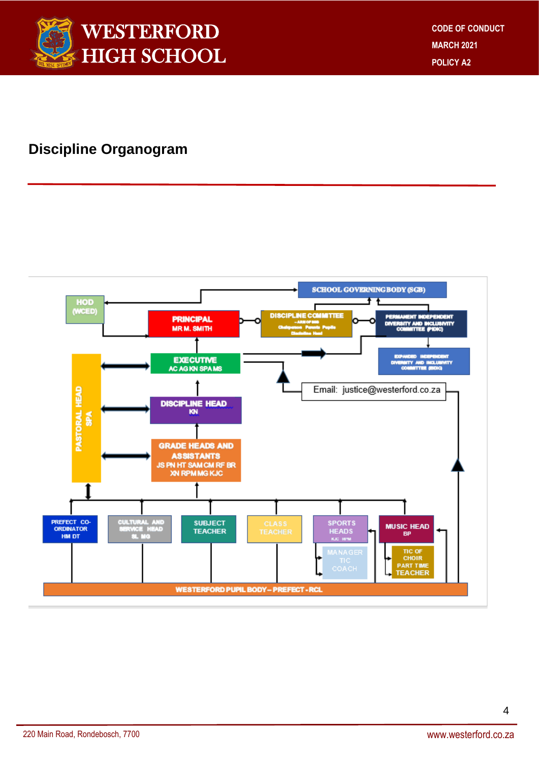

### **Discipline Organogram**

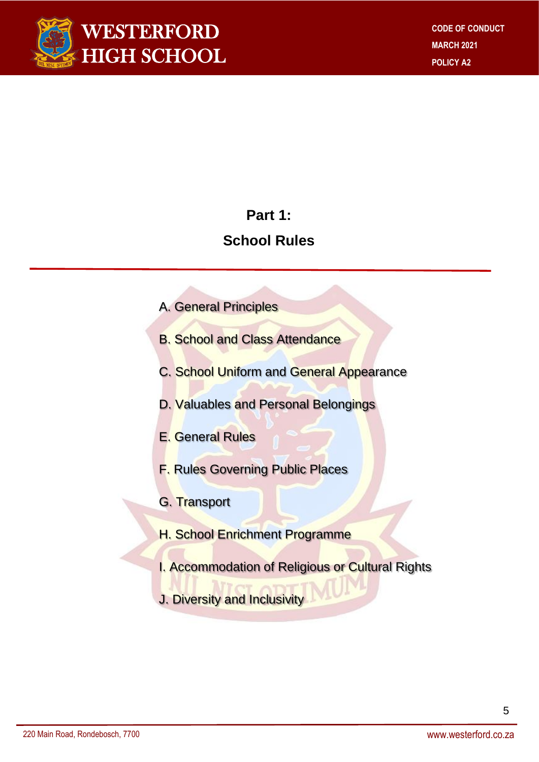

### **Part 1:**

## **School Rules**

- A. General Principles
- B. School and Class Attendance
- C. School Uniform and General Appearance
- D. Valuables and Personal Belongings
- E. General Rules
- F. Rules Governing Public Places
- G. Transport
- **H. School Enrichment Programme**
- I. Accommodation of Religious or Cultural Rights
- J. Diversity and Inclusivity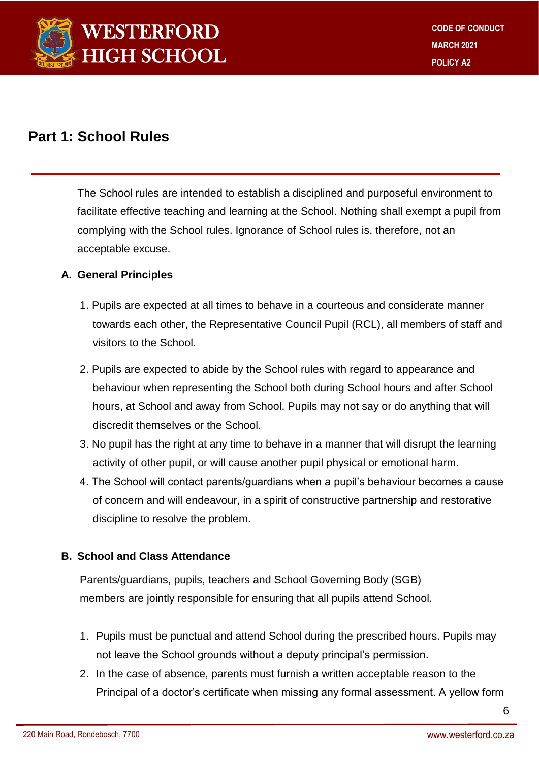

### **Part 1: School Rules**

The School rules are intended to establish a disciplined and purposeful environment to facilitate effective teaching and learning at the School. Nothing shall exempt a pupil from complying with the School rules. Ignorance of School rules is, therefore, not an acceptable excuse.

#### **A. General Principles**

- 1. Pupils are expected at all times to behave in a courteous and considerate manner towards each other, the Representative Council Pupil (RCL), all members of staff and visitors to the School.
- 2. Pupils are expected to abide by the School rules with regard to appearance and behaviour when representing the School both during School hours and after School hours, at School and away from School. Pupils may not say or do anything that will discredit themselves or the School.
- 3. No pupil has the right at any time to behave in a manner that will disrupt the learning activity of other pupil, or will cause another pupil physical or emotional harm.
- 4. The School will contact parents/guardians when a pupil's behaviour becomes a cause of concern and will endeavour, in a spirit of constructive partnership and restorative discipline to resolve the problem.

#### **B. School and Class Attendance**

Parents/guardians, pupils, teachers and School Governing Body (SGB) members are jointly responsible for ensuring that all pupils attend School.

- 1. Pupils must be punctual and attend School during the prescribed hours. Pupils may not leave the School grounds without a deputy principal's permission.
- 2. In the case of absence, parents must furnish a written acceptable reason to the Principal of a doctor's certificate when missing any formal assessment. A yellow form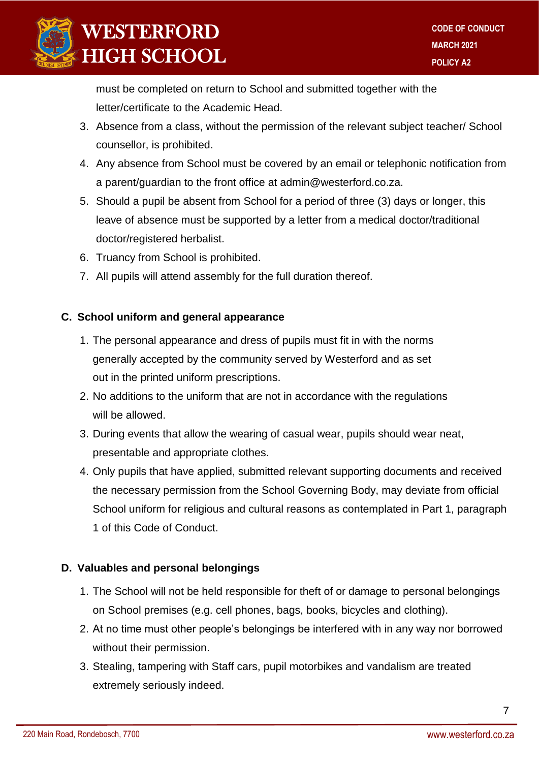

must be completed on return to School and submitted together with the letter/certificate to the Academic Head.

- 3. Absence from a class, without the permission of the relevant subject teacher/ School counsellor, is prohibited.
- 4. Any absence from School must be covered by an email or telephonic notification from a parent/guardian to the front office at admin@westerford.co.za.
- 5. Should a pupil be absent from School for a period of three (3) days or longer, this leave of absence must be supported by a letter from a medical doctor/traditional doctor/registered herbalist.
- 6. Truancy from School is prohibited.
- 7. All pupils will attend assembly for the full duration thereof.

#### **C. School uniform and general appearance**

- 1. The personal appearance and dress of pupils must fit in with the norms generally accepted by the community served by Westerford and as set out in the printed uniform prescriptions.
- 2. No additions to the uniform that are not in accordance with the regulations will be allowed.
- 3. During events that allow the wearing of casual wear, pupils should wear neat, presentable and appropriate clothes.
- 4. Only pupils that have applied, submitted relevant supporting documents and received the necessary permission from the School Governing Body, may deviate from official School uniform for religious and cultural reasons as contemplated in Part 1, paragraph 1 of this Code of Conduct.

#### **D. Valuables and personal belongings**

- 1. The School will not be held responsible for theft of or damage to personal belongings on School premises (e.g. cell phones, bags, books, bicycles and clothing).
- 2. At no time must other people's belongings be interfered with in any way nor borrowed without their permission.
- 3. Stealing, tampering with Staff cars, pupil motorbikes and vandalism are treated extremely seriously indeed.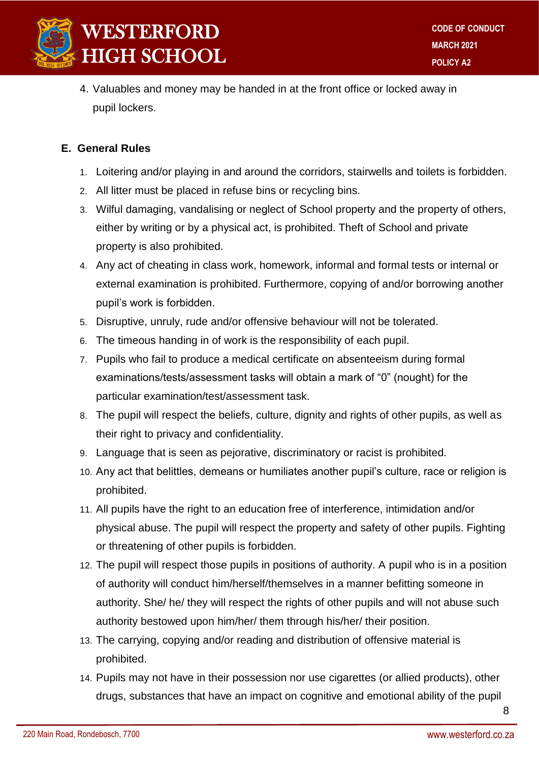

4. Valuables and money may be handed in at the front office or locked away in pupil lockers.

#### **E. General Rules**

- 1. Loitering and/or playing in and around the corridors, stairwells and toilets is forbidden.
- 2. All litter must be placed in refuse bins or recycling bins.
- 3. Wilful damaging, vandalising or neglect of School property and the property of others, either by writing or by a physical act, is prohibited. Theft of School and private property is also prohibited.
- 4. Any act of cheating in class work, homework, informal and formal tests or internal or external examination is prohibited. Furthermore, copying of and/or borrowing another pupil's work is forbidden.
- 5. Disruptive, unruly, rude and/or offensive behaviour will not be tolerated.
- 6. The timeous handing in of work is the responsibility of each pupil.
- 7. Pupils who fail to produce a medical certificate on absenteeism during formal examinations/tests/assessment tasks will obtain a mark of "0" (nought) for the particular examination/test/assessment task.
- 8. The pupil will respect the beliefs, culture, dignity and rights of other pupils, as well as their right to privacy and confidentiality.
- 9. Language that is seen as pejorative, discriminatory or racist is prohibited.
- 10. Any act that belittles, demeans or humiliates another pupil's culture, race or religion is prohibited.
- 11. All pupils have the right to an education free of interference, intimidation and/or physical abuse. The pupil will respect the property and safety of other pupils. Fighting or threatening of other pupils is forbidden.
- 12. The pupil will respect those pupils in positions of authority. A pupil who is in a position of authority will conduct him/herself/themselves in a manner befitting someone in authority. She/ he/ they will respect the rights of other pupils and will not abuse such authority bestowed upon him/her/ them through his/her/ their position.
- 13. The carrying, copying and/or reading and distribution of offensive material is prohibited.
- 14. Pupils may not have in their possession nor use cigarettes (or allied products), other drugs, substances that have an impact on cognitive and emotional ability of the pupil

8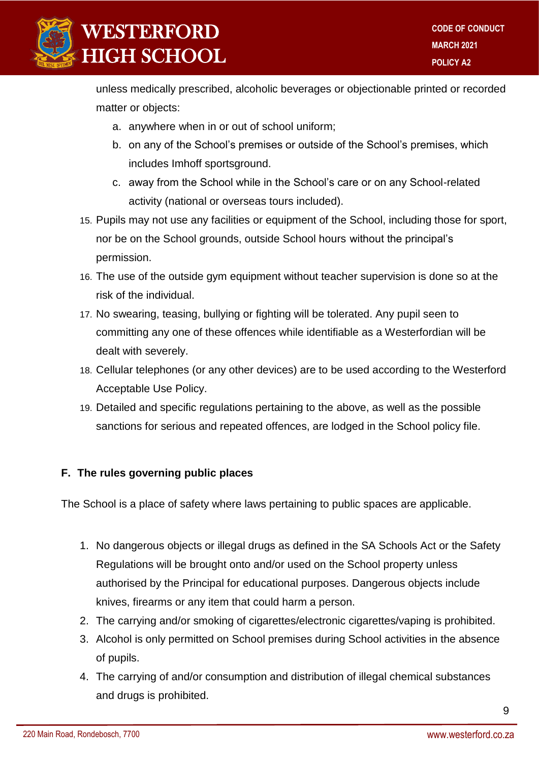

unless medically prescribed, alcoholic beverages or objectionable printed or recorded matter or objects:

- a. anywhere when in or out of school uniform;
- b. on any of the School's premises or outside of the School's premises, which includes Imhoff sportsground.
- c. away from the School while in the School's care or on any School-related activity (national or overseas tours included).
- 15. Pupils may not use any facilities or equipment of the School, including those for sport, nor be on the School grounds, outside School hours without the principal's permission.
- 16. The use of the outside gym equipment without teacher supervision is done so at the risk of the individual.
- 17. No swearing, teasing, bullying or fighting will be tolerated. Any pupil seen to committing any one of these offences while identifiable as a Westerfordian will be dealt with severely.
- 18. Cellular telephones (or any other devices) are to be used according to the Westerford Acceptable Use Policy.
- 19. Detailed and specific regulations pertaining to the above, as well as the possible sanctions for serious and repeated offences, are lodged in the School policy file.

#### **F. The rules governing public places**

The School is a place of safety where laws pertaining to public spaces are applicable.

- 1. No dangerous objects or illegal drugs as defined in the SA Schools Act or the Safety Regulations will be brought onto and/or used on the School property unless authorised by the Principal for educational purposes. Dangerous objects include knives, firearms or any item that could harm a person.
- 2. The carrying and/or smoking of cigarettes/electronic cigarettes/vaping is prohibited.
- 3. Alcohol is only permitted on School premises during School activities in the absence of pupils.
- 4. The carrying of and/or consumption and distribution of illegal chemical substances and drugs is prohibited.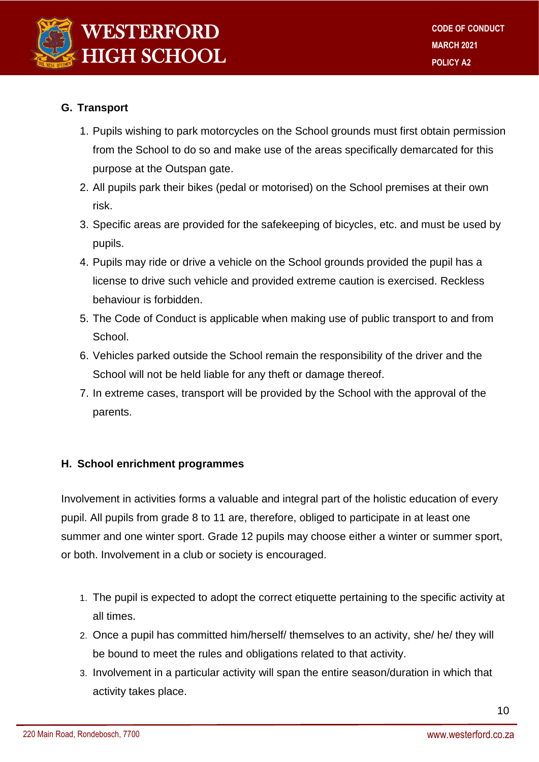

#### **G. Transport**

- 1. Pupils wishing to park motorcycles on the School grounds must first obtain permission from the School to do so and make use of the areas specifically demarcated for this purpose at the Outspan gate.
- 2. All pupils park their bikes (pedal or motorised) on the School premises at their own risk.
- 3. Specific areas are provided for the safekeeping of bicycles, etc. and must be used by pupils.
- 4. Pupils may ride or drive a vehicle on the School grounds provided the pupil has a license to drive such vehicle and provided extreme caution is exercised. Reckless behaviour is forbidden.
- 5. The Code of Conduct is applicable when making use of public transport to and from School.
- 6. Vehicles parked outside the School remain the responsibility of the driver and the School will not be held liable for any theft or damage thereof.
- 7. In extreme cases, transport will be provided by the School with the approval of the parents.

#### **H. School enrichment programmes**

Involvement in activities forms a valuable and integral part of the holistic education of every pupil. All pupils from grade 8 to 11 are, therefore, obliged to participate in at least one summer and one winter sport. Grade 12 pupils may choose either a winter or summer sport, or both. Involvement in a club or society is encouraged.

- 1. The pupil is expected to adopt the correct etiquette pertaining to the specific activity at all times.
- 2. Once a pupil has committed him/herself/ themselves to an activity, she/ he/ they will be bound to meet the rules and obligations related to that activity.
- 3. Involvement in a particular activity will span the entire season/duration in which that activity takes place.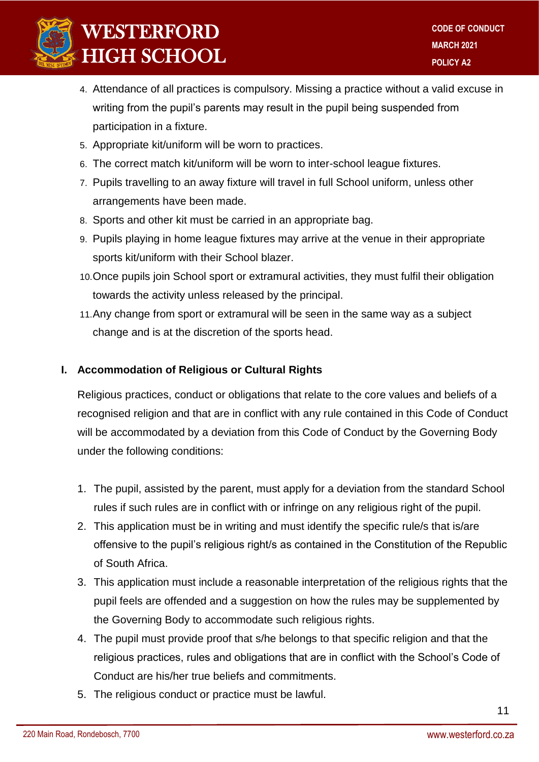

- 4. Attendance of all practices is compulsory. Missing a practice without a valid excuse in writing from the pupil's parents may result in the pupil being suspended from participation in a fixture.
- 5. Appropriate kit/uniform will be worn to practices.
- 6. The correct match kit/uniform will be worn to inter-school league fixtures.
- 7. Pupils travelling to an away fixture will travel in full School uniform, unless other arrangements have been made.
- 8. Sports and other kit must be carried in an appropriate bag.
- 9. Pupils playing in home league fixtures may arrive at the venue in their appropriate sports kit/uniform with their School blazer.
- 10.Once pupils join School sport or extramural activities, they must fulfil their obligation towards the activity unless released by the principal.
- 11.Any change from sport or extramural will be seen in the same way as a subject change and is at the discretion of the sports head.

#### **I. Accommodation of Religious or Cultural Rights**

Religious practices, conduct or obligations that relate to the core values and beliefs of a recognised religion and that are in conflict with any rule contained in this Code of Conduct will be accommodated by a deviation from this Code of Conduct by the Governing Body under the following conditions:

- 1. The pupil, assisted by the parent, must apply for a deviation from the standard School rules if such rules are in conflict with or infringe on any religious right of the pupil.
- 2. This application must be in writing and must identify the specific rule/s that is/are offensive to the pupil's religious right/s as contained in the Constitution of the Republic of South Africa.
- 3. This application must include a reasonable interpretation of the religious rights that the pupil feels are offended and a suggestion on how the rules may be supplemented by the Governing Body to accommodate such religious rights.
- 4. The pupil must provide proof that s/he belongs to that specific religion and that the religious practices, rules and obligations that are in conflict with the School's Code of Conduct are his/her true beliefs and commitments.
- 5. The religious conduct or practice must be lawful.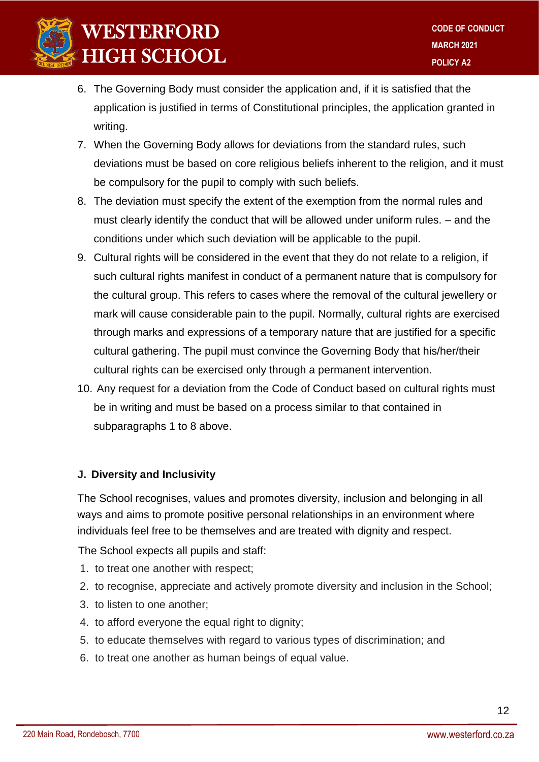

- 6. The Governing Body must consider the application and, if it is satisfied that the application is justified in terms of Constitutional principles, the application granted in writing.
- 7. When the Governing Body allows for deviations from the standard rules, such deviations must be based on core religious beliefs inherent to the religion, and it must be compulsory for the pupil to comply with such beliefs.
- 8. The deviation must specify the extent of the exemption from the normal rules and must clearly identify the conduct that will be allowed under uniform rules. – and the conditions under which such deviation will be applicable to the pupil.
- 9. Cultural rights will be considered in the event that they do not relate to a religion, if such cultural rights manifest in conduct of a permanent nature that is compulsory for the cultural group. This refers to cases where the removal of the cultural jewellery or mark will cause considerable pain to the pupil. Normally, cultural rights are exercised through marks and expressions of a temporary nature that are justified for a specific cultural gathering. The pupil must convince the Governing Body that his/her/their cultural rights can be exercised only through a permanent intervention.
- 10. Any request for a deviation from the Code of Conduct based on cultural rights must be in writing and must be based on a process similar to that contained in subparagraphs 1 to 8 above.

#### **J. Diversity and Inclusivity**

The School recognises, values and promotes diversity, inclusion and belonging in all ways and aims to promote positive personal relationships in an environment where individuals feel free to be themselves and are treated with dignity and respect.

The School expects all pupils and staff:

- 1. to treat one another with respect;
- 2. to recognise, appreciate and actively promote diversity and inclusion in the School;
- 3. to listen to one another;
- 4. to afford everyone the equal right to dignity;
- 5. to educate themselves with regard to various types of discrimination; and
- 6. to treat one another as human beings of equal value.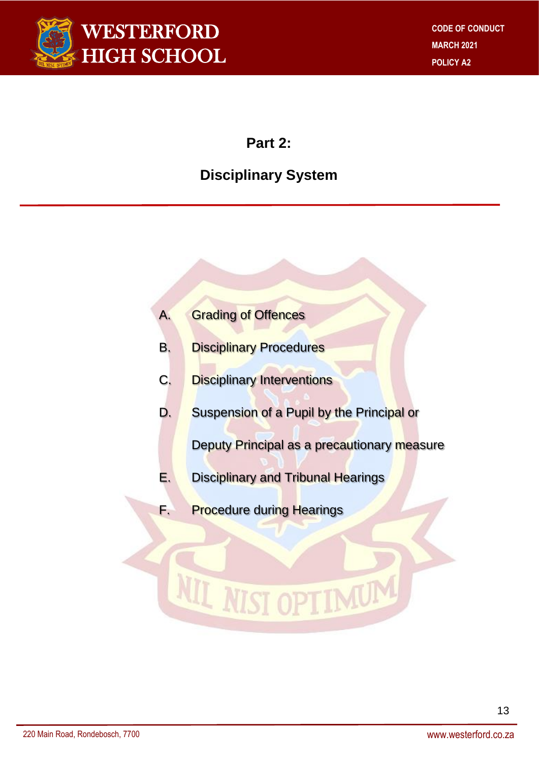

### **Part 2:**

### **Disciplinary System**

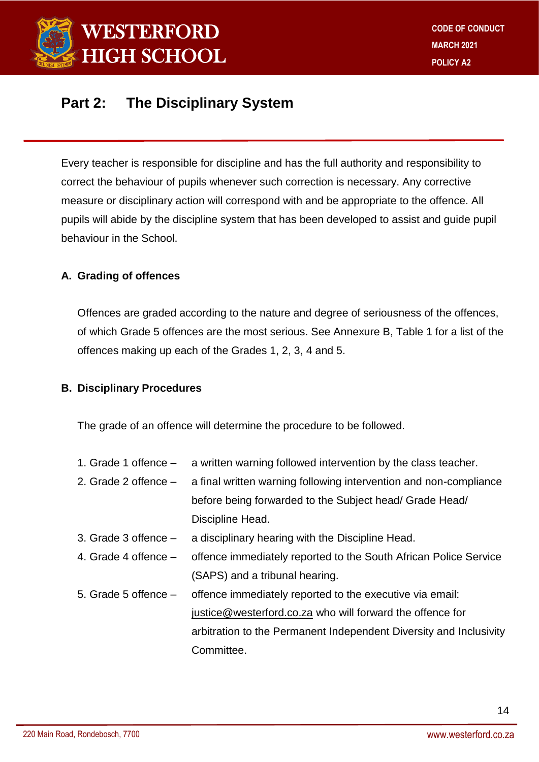

### **Part 2: The Disciplinary System**

Every teacher is responsible for discipline and has the full authority and responsibility to correct the behaviour of pupils whenever such correction is necessary. Any corrective measure or disciplinary action will correspond with and be appropriate to the offence. All pupils will abide by the discipline system that has been developed to assist and guide pupil behaviour in the School.

#### **A. Grading of offences**

Offences are graded according to the nature and degree of seriousness of the offences, of which Grade 5 offences are the most serious. See Annexure B, Table 1 for a list of the offences making up each of the Grades 1, 2, 3, 4 and 5.

#### **B. Disciplinary Procedures**

The grade of an offence will determine the procedure to be followed.

- 1. Grade 1 offence a written warning followed intervention by the class teacher.
- 2. Grade 2 offence a final written warning following intervention and non-compliance before being forwarded to the Subject head/ Grade Head/ Discipline Head.
- 3. Grade 3 offence a disciplinary hearing with the Discipline Head.
- 4. Grade 4 offence offence immediately reported to the South African Police Service (SAPS) and a tribunal hearing.
- 5. Grade 5 offence offence immediately reported to the executive via email: [justice@westerford.co.za](mailto:justice@westerford.co.za) who will forward the offence for arbitration to the Permanent Independent Diversity and Inclusivity Committee.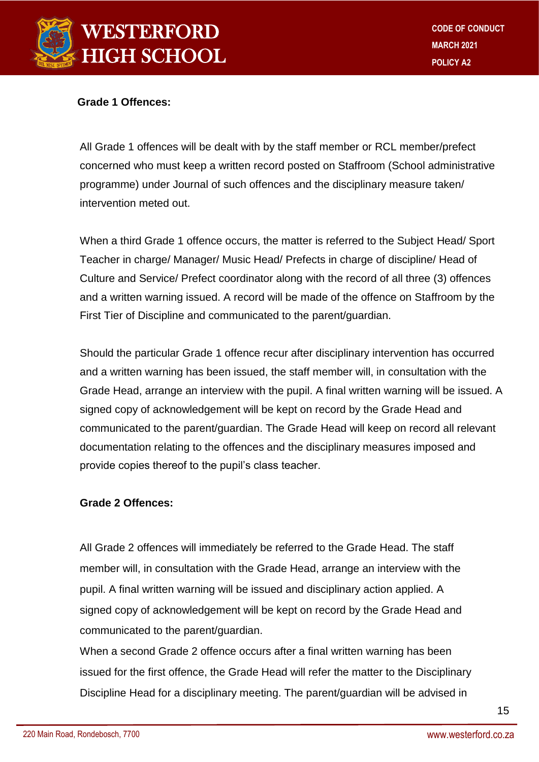

#### **Grade 1 Offences:**

All Grade 1 offences will be dealt with by the staff member or RCL member/prefect concerned who must keep a written record posted on Staffroom (School administrative programme) under Journal of such offences and the disciplinary measure taken/ intervention meted out.

When a third Grade 1 offence occurs, the matter is referred to the Subject Head/ Sport Teacher in charge/ Manager/ Music Head/ Prefects in charge of discipline/ Head of Culture and Service/ Prefect coordinator along with the record of all three (3) offences and a written warning issued. A record will be made of the offence on Staffroom by the First Tier of Discipline and communicated to the parent/guardian.

Should the particular Grade 1 offence recur after disciplinary intervention has occurred and a written warning has been issued, the staff member will, in consultation with the Grade Head, arrange an interview with the pupil. A final written warning will be issued. A signed copy of acknowledgement will be kept on record by the Grade Head and communicated to the parent/guardian. The Grade Head will keep on record all relevant documentation relating to the offences and the disciplinary measures imposed and provide copies thereof to the pupil's class teacher.

#### **Grade 2 Offences:**

All Grade 2 offences will immediately be referred to the Grade Head. The staff member will, in consultation with the Grade Head, arrange an interview with the pupil. A final written warning will be issued and disciplinary action applied. A signed copy of acknowledgement will be kept on record by the Grade Head and communicated to the parent/guardian.

When a second Grade 2 offence occurs after a final written warning has been issued for the first offence, the Grade Head will refer the matter to the Disciplinary Discipline Head for a disciplinary meeting. The parent/guardian will be advised in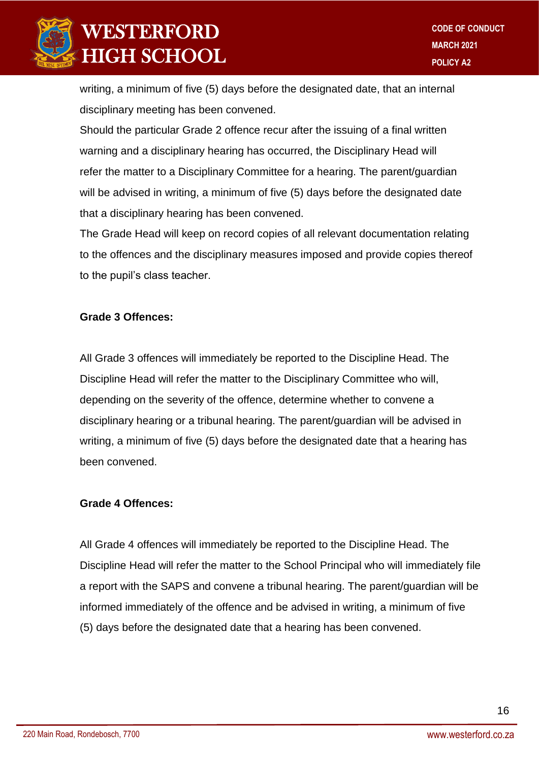

writing, a minimum of five (5) days before the designated date, that an internal disciplinary meeting has been convened.

Should the particular Grade 2 offence recur after the issuing of a final written warning and a disciplinary hearing has occurred, the Disciplinary Head will refer the matter to a Disciplinary Committee for a hearing. The parent/guardian will be advised in writing, a minimum of five (5) days before the designated date that a disciplinary hearing has been convened.

The Grade Head will keep on record copies of all relevant documentation relating to the offences and the disciplinary measures imposed and provide copies thereof to the pupil's class teacher.

#### **Grade 3 Offences:**

All Grade 3 offences will immediately be reported to the Discipline Head. The Discipline Head will refer the matter to the Disciplinary Committee who will, depending on the severity of the offence, determine whether to convene a disciplinary hearing or a tribunal hearing. The parent/guardian will be advised in writing, a minimum of five (5) days before the designated date that a hearing has been convened.

#### **Grade 4 Offences:**

All Grade 4 offences will immediately be reported to the Discipline Head. The Discipline Head will refer the matter to the School Principal who will immediately file a report with the SAPS and convene a tribunal hearing. The parent/guardian will be informed immediately of the offence and be advised in writing, a minimum of five (5) days before the designated date that a hearing has been convened.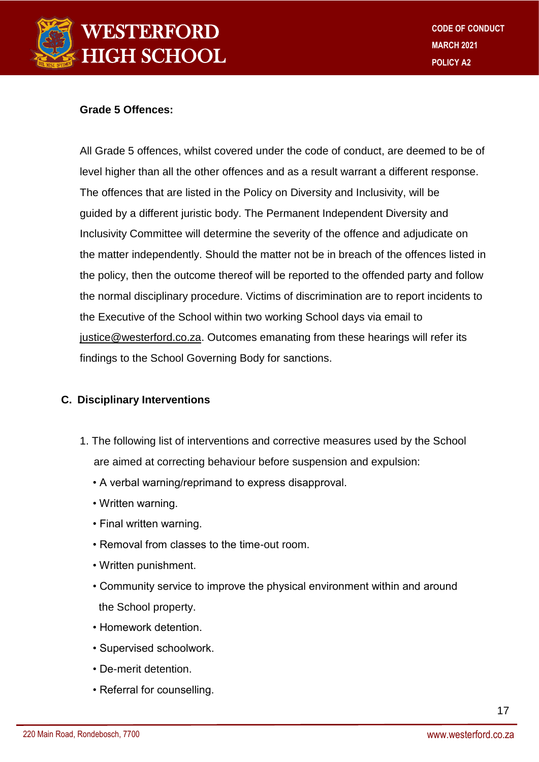

#### **Grade 5 Offences:**

All Grade 5 offences, whilst covered under the code of conduct, are deemed to be of level higher than all the other offences and as a result warrant a different response. The offences that are listed in the Policy on Diversity and Inclusivity, will be guided by a different juristic body. The Permanent Independent Diversity and Inclusivity Committee will determine the severity of the offence and adjudicate on the matter independently. Should the matter not be in breach of the offences listed in the policy, then the outcome thereof will be reported to the offended party and follow the normal disciplinary procedure. Victims of discrimination are to report incidents to the Executive of the School within two working School days via email to [justice@westerford.co.za.](mailto:justice@westerford.co.za) Outcomes emanating from these hearings will refer its findings to the School Governing Body for sanctions.

#### **C. Disciplinary Interventions**

- 1. The following list of interventions and corrective measures used by the School are aimed at correcting behaviour before suspension and expulsion:
	- A verbal warning/reprimand to express disapproval.
	- Written warning.
	- Final written warning.
	- Removal from classes to the time-out room.
	- Written punishment.
	- Community service to improve the physical environment within and around the School property.
	- Homework detention.
	- Supervised schoolwork.
	- De-merit detention.
	- Referral for counselling.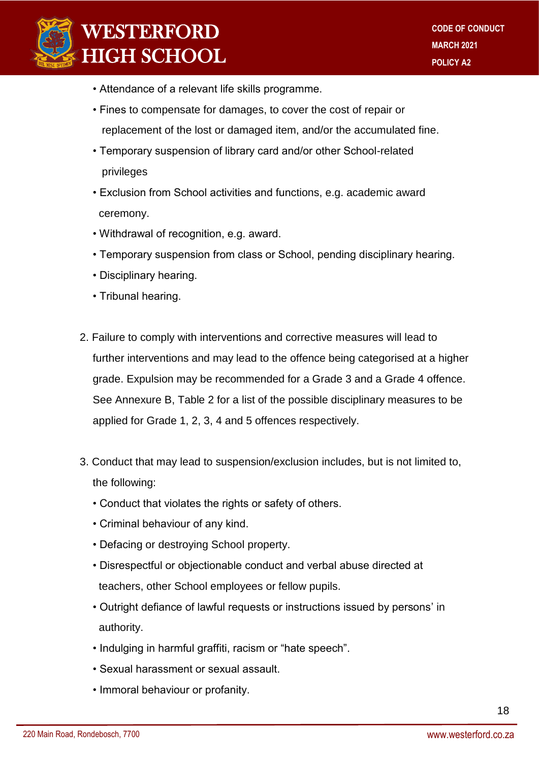

- Attendance of a relevant life skills programme.
- Fines to compensate for damages, to cover the cost of repair or replacement of the lost or damaged item, and/or the accumulated fine.
- Temporary suspension of library card and/or other School-related privileges
- Exclusion from School activities and functions, e.g. academic award ceremony.
- Withdrawal of recognition, e.g. award.
- Temporary suspension from class or School, pending disciplinary hearing.
- Disciplinary hearing.
- Tribunal hearing.
- 2. Failure to comply with interventions and corrective measures will lead to further interventions and may lead to the offence being categorised at a higher grade. Expulsion may be recommended for a Grade 3 and a Grade 4 offence. See Annexure B, Table 2 for a list of the possible disciplinary measures to be applied for Grade 1, 2, 3, 4 and 5 offences respectively.
- 3. Conduct that may lead to suspension/exclusion includes, but is not limited to, the following:
	- Conduct that violates the rights or safety of others.
	- Criminal behaviour of any kind.
	- Defacing or destroying School property.
	- Disrespectful or objectionable conduct and verbal abuse directed at teachers, other School employees or fellow pupils.
	- Outright defiance of lawful requests or instructions issued by persons' in authority.
	- Indulging in harmful graffiti, racism or "hate speech".
	- Sexual harassment or sexual assault.
	- Immoral behaviour or profanity.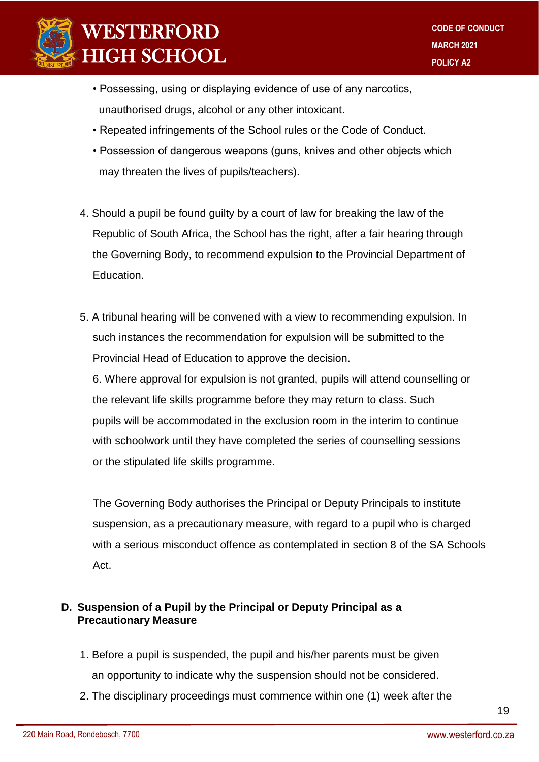

- Possessing, using or displaying evidence of use of any narcotics, unauthorised drugs, alcohol or any other intoxicant.
- Repeated infringements of the School rules or the Code of Conduct.
- Possession of dangerous weapons (guns, knives and other objects which may threaten the lives of pupils/teachers).
- 4. Should a pupil be found guilty by a court of law for breaking the law of the Republic of South Africa, the School has the right, after a fair hearing through the Governing Body, to recommend expulsion to the Provincial Department of Education.
- 5. A tribunal hearing will be convened with a view to recommending expulsion. In such instances the recommendation for expulsion will be submitted to the Provincial Head of Education to approve the decision.

6. Where approval for expulsion is not granted, pupils will attend counselling or the relevant life skills programme before they may return to class. Such pupils will be accommodated in the exclusion room in the interim to continue with schoolwork until they have completed the series of counselling sessions or the stipulated life skills programme.

The Governing Body authorises the Principal or Deputy Principals to institute suspension, as a precautionary measure, with regard to a pupil who is charged with a serious misconduct offence as contemplated in section 8 of the SA Schools Act.

### **D. Suspension of a Pupil by the Principal or Deputy Principal as a Precautionary Measure**

- 1. Before a pupil is suspended, the pupil and his/her parents must be given an opportunity to indicate why the suspension should not be considered.
- 2. The disciplinary proceedings must commence within one (1) week after the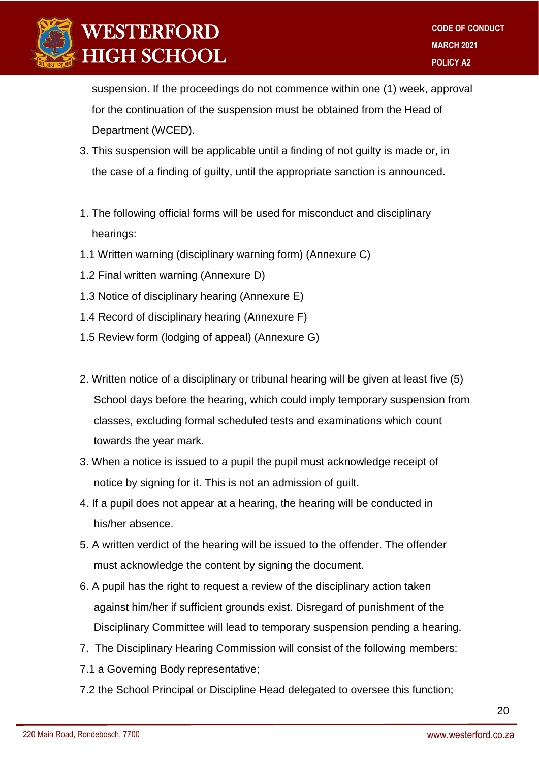

 suspension. If the proceedings do not commence within one (1) week, approval for the continuation of the suspension must be obtained from the Head of Department (WCED).

- 3. This suspension will be applicable until a finding of not guilty is made or, in the case of a finding of guilty, until the appropriate sanction is announced.
- 1. The following official forms will be used for misconduct and disciplinary hearings:
- 1.1 Written warning (disciplinary warning form) (Annexure C)
- 1.2 Final written warning (Annexure D)
- 1.3 Notice of disciplinary hearing (Annexure E)
- 1.4 Record of disciplinary hearing (Annexure F)
- 1.5 Review form (lodging of appeal) (Annexure G)
- 2. Written notice of a disciplinary or tribunal hearing will be given at least five (5) School days before the hearing, which could imply temporary suspension from classes, excluding formal scheduled tests and examinations which count towards the year mark.
- 3. When a notice is issued to a pupil the pupil must acknowledge receipt of notice by signing for it. This is not an admission of guilt.
- 4. If a pupil does not appear at a hearing, the hearing will be conducted in his/her absence.
- 5. A written verdict of the hearing will be issued to the offender. The offender must acknowledge the content by signing the document.
- 6. A pupil has the right to request a review of the disciplinary action taken against him/her if sufficient grounds exist. Disregard of punishment of the Disciplinary Committee will lead to temporary suspension pending a hearing.
- 7. The Disciplinary Hearing Commission will consist of the following members:
- 7.1 a Governing Body representative;
- 7.2 the School Principal or Discipline Head delegated to oversee this function;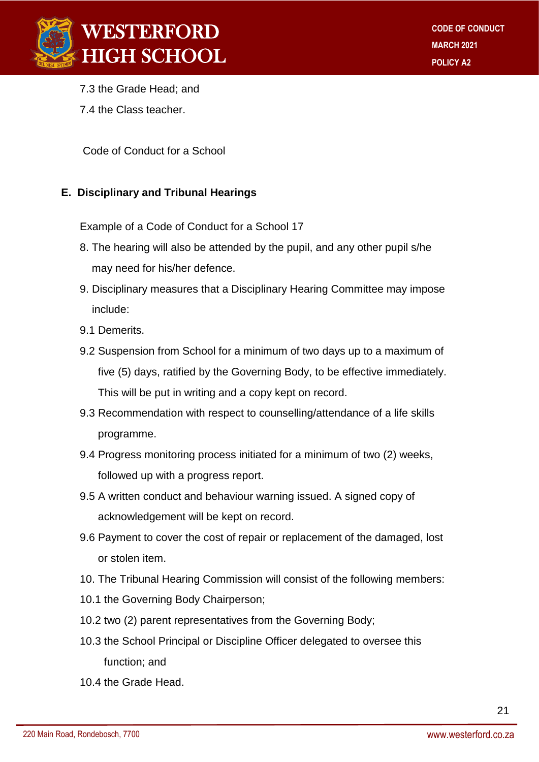

- 7.3 the Grade Head; and
- 7.4 the Class teacher.

Code of Conduct for a School

#### **E. Disciplinary and Tribunal Hearings**

Example of a Code of Conduct for a School 17

- 8. The hearing will also be attended by the pupil, and any other pupil s/he may need for his/her defence.
- 9. Disciplinary measures that a Disciplinary Hearing Committee may impose include:
- 9.1 Demerits.
- 9.2 Suspension from School for a minimum of two days up to a maximum of five (5) days, ratified by the Governing Body, to be effective immediately. This will be put in writing and a copy kept on record.
- 9.3 Recommendation with respect to counselling/attendance of a life skills programme.
- 9.4 Progress monitoring process initiated for a minimum of two (2) weeks, followed up with a progress report.
- 9.5 A written conduct and behaviour warning issued. A signed copy of acknowledgement will be kept on record.
- 9.6 Payment to cover the cost of repair or replacement of the damaged, lost or stolen item.
- 10. The Tribunal Hearing Commission will consist of the following members:
- 10.1 the Governing Body Chairperson;
- 10.2 two (2) parent representatives from the Governing Body;
- 10.3 the School Principal or Discipline Officer delegated to oversee this function; and
- 10.4 the Grade Head.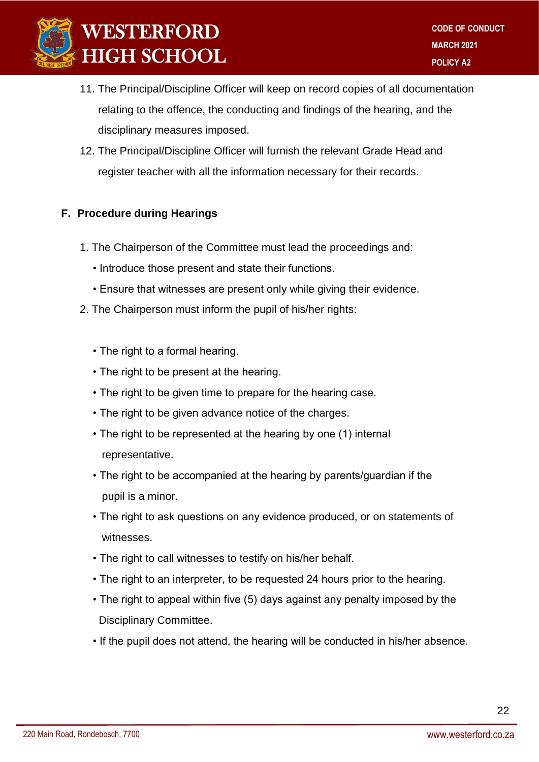

- 11. The Principal/Discipline Officer will keep on record copies of all documentation relating to the offence, the conducting and findings of the hearing, and the disciplinary measures imposed.
- 12. The Principal/Discipline Officer will furnish the relevant Grade Head and register teacher with all the information necessary for their records.

#### **F. Procedure during Hearings**

- 1. The Chairperson of the Committee must lead the proceedings and:
	- Introduce those present and state their functions.
	- Ensure that witnesses are present only while giving their evidence.
- 2. The Chairperson must inform the pupil of his/her rights:
	- The right to a formal hearing.
	- The right to be present at the hearing.
	- The right to be given time to prepare for the hearing case.
	- The right to be given advance notice of the charges.
	- The right to be represented at the hearing by one (1) internal representative.
	- The right to be accompanied at the hearing by parents/guardian if the pupil is a minor.
	- The right to ask questions on any evidence produced, or on statements of witnesses.
	- The right to call witnesses to testify on his/her behalf.
	- The right to an interpreter, to be requested 24 hours prior to the hearing.
	- The right to appeal within five (5) days against any penalty imposed by the Disciplinary Committee.
	- If the pupil does not attend, the hearing will be conducted in his/her absence.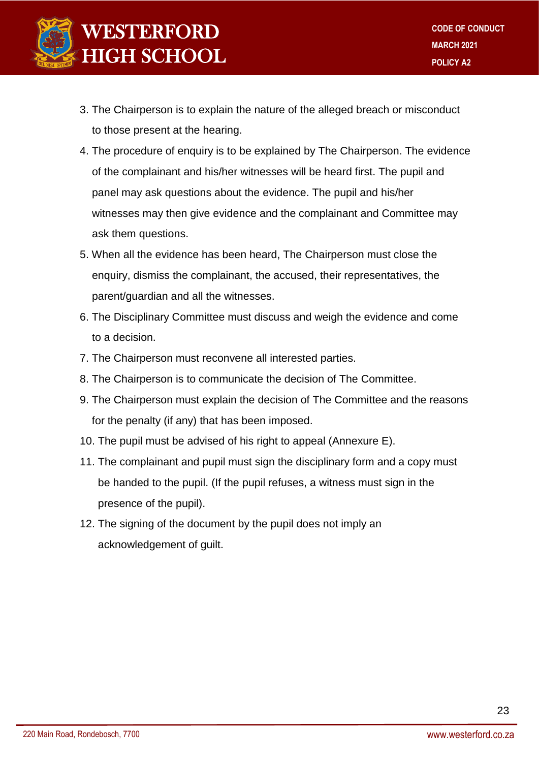

- 3. The Chairperson is to explain the nature of the alleged breach or misconduct to those present at the hearing.
- 4. The procedure of enquiry is to be explained by The Chairperson. The evidence of the complainant and his/her witnesses will be heard first. The pupil and panel may ask questions about the evidence. The pupil and his/her witnesses may then give evidence and the complainant and Committee may ask them questions.
- 5. When all the evidence has been heard, The Chairperson must close the enquiry, dismiss the complainant, the accused, their representatives, the parent/guardian and all the witnesses.
- 6. The Disciplinary Committee must discuss and weigh the evidence and come to a decision.
- 7. The Chairperson must reconvene all interested parties.
- 8. The Chairperson is to communicate the decision of The Committee.
- 9. The Chairperson must explain the decision of The Committee and the reasons for the penalty (if any) that has been imposed.
- 10. The pupil must be advised of his right to appeal (Annexure E).
- 11. The complainant and pupil must sign the disciplinary form and a copy must be handed to the pupil. (If the pupil refuses, a witness must sign in the presence of the pupil).
- 12. The signing of the document by the pupil does not imply an acknowledgement of guilt.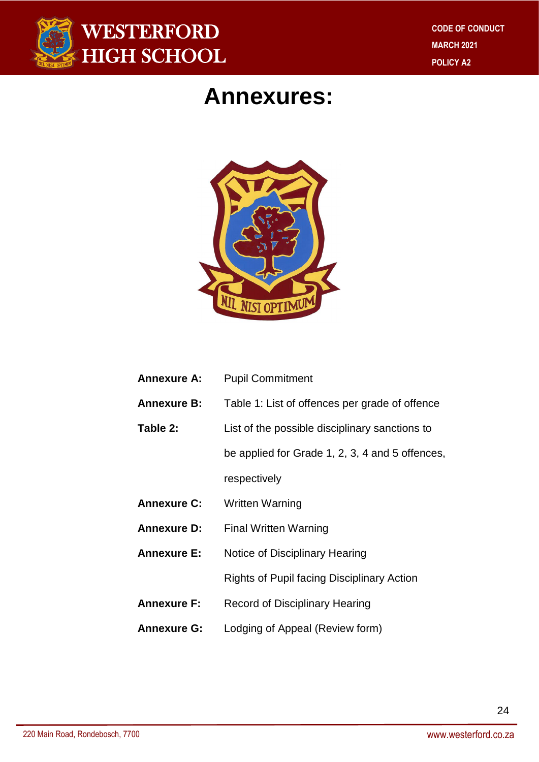

# **Annexures:**



| <b>Annexure A:</b> | <b>Pupil Commitment</b>                           |
|--------------------|---------------------------------------------------|
| <b>Annexure B:</b> | Table 1: List of offences per grade of offence    |
| Table 2:           | List of the possible disciplinary sanctions to    |
|                    | be applied for Grade 1, 2, 3, 4 and 5 offences,   |
|                    | respectively                                      |
| <b>Annexure C:</b> | <b>Written Warning</b>                            |
| <b>Annexure D:</b> | <b>Final Written Warning</b>                      |
| <b>Annexure E:</b> | Notice of Disciplinary Hearing                    |
|                    | <b>Rights of Pupil facing Disciplinary Action</b> |
| <b>Annexure F:</b> | Record of Disciplinary Hearing                    |
| <b>Annexure G:</b> | Lodging of Appeal (Review form)                   |
|                    |                                                   |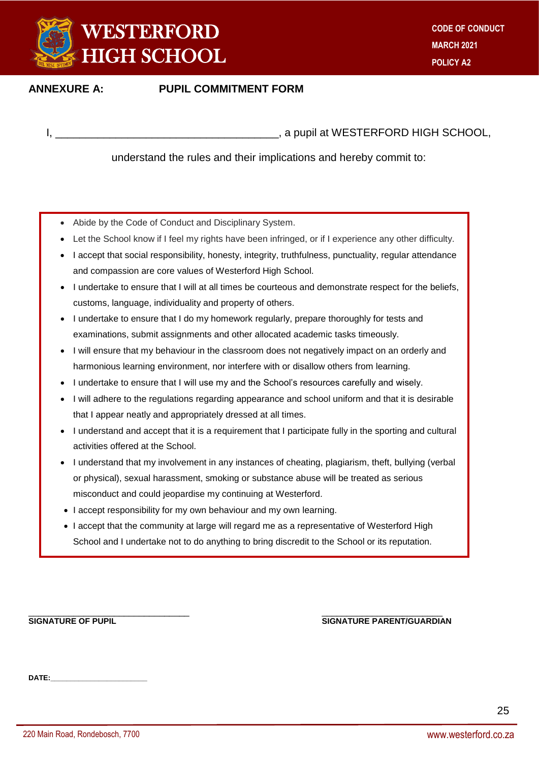

#### **ANNEXURE A: PUPIL COMMITMENT FORM**

I, \_\_\_\_\_\_\_\_\_\_\_\_\_\_\_\_\_\_\_\_\_\_\_\_\_\_\_\_\_\_\_\_\_\_\_\_\_, a pupil at WESTERFORD HIGH SCHOOL,

understand the rules and their implications and hereby commit to:

- Abide by the Code of Conduct and Disciplinary System.
- Let the School know if I feel my rights have been infringed, or if I experience any other difficulty.
- I accept that social responsibility, honesty, integrity, truthfulness, punctuality, regular attendance and compassion are core values of Westerford High School.
- I undertake to ensure that I will at all times be courteous and demonstrate respect for the beliefs, customs, language, individuality and property of others.
- I undertake to ensure that I do my homework regularly, prepare thoroughly for tests and examinations, submit assignments and other allocated academic tasks timeously.
- I will ensure that my behaviour in the classroom does not negatively impact on an orderly and harmonious learning environment, nor interfere with or disallow others from learning.
- I undertake to ensure that I will use my and the School's resources carefully and wisely.
- I will adhere to the regulations regarding appearance and school uniform and that it is desirable that I appear neatly and appropriately dressed at all times.
- I understand and accept that it is a requirement that I participate fully in the sporting and cultural activities offered at the School.
- I understand that my involvement in any instances of cheating, plagiarism, theft, bullying (verbal or physical), sexual harassment, smoking or substance abuse will be treated as serious misconduct and could jeopardise my continuing at Westerford.
- I accept responsibility for my own behaviour and my own learning.
- I accept that the community at large will regard me as a representative of Westerford High School and I undertake not to do anything to bring discredit to the School or its reputation.

#### \_\_\_\_\_\_\_\_\_\_\_\_\_\_\_\_\_\_\_\_\_\_\_\_\_\_\_\_\_\_\_\_ \_\_\_\_\_\_\_\_\_\_\_\_\_\_\_\_\_\_\_\_\_\_\_\_ **SIGNATURE OF PUPIL SIGNATURE PARENT/GUARDIAN**

**DATE:\_\_\_\_\_\_\_\_\_\_\_\_\_\_\_\_\_\_\_\_\_\_\_\_**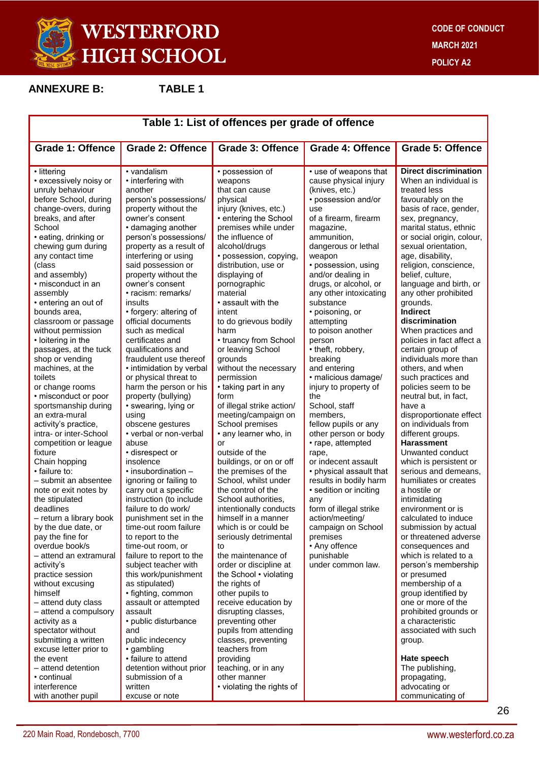

**ANNEXURE B: TABLE 1**

| Table 1: List of offences per grade of offence                                                                                                                                                                                                                                                                                                                                                                                                                                                                                                                                                                                                                                                                                                                                                                                                                                                                                                                                                                                         |                                                                                                                                                                                                                                                                                                                                                                                                                                                                                                                                                                                                                                                                                                                                                                                                                                                                                                                                                                                                                                                                                                               |                                                                                                                                                                                                                                                                                                                                                                                                                                                                                                                                                                                                                                                                                                                                                                                                                                                                                                                                                                                                                                          |                                                                                                                                                                                                                                                                                                                                                                                                                                                                                                                                                                                                                                                                                                                                                                                                                                     |                                                                                                                                                                                                                                                                                                                                                                                                                                                                                                                                                                                                                                                                                                                                                                                                                                                                                                                                                                                                                                                                                                                                                |
|----------------------------------------------------------------------------------------------------------------------------------------------------------------------------------------------------------------------------------------------------------------------------------------------------------------------------------------------------------------------------------------------------------------------------------------------------------------------------------------------------------------------------------------------------------------------------------------------------------------------------------------------------------------------------------------------------------------------------------------------------------------------------------------------------------------------------------------------------------------------------------------------------------------------------------------------------------------------------------------------------------------------------------------|---------------------------------------------------------------------------------------------------------------------------------------------------------------------------------------------------------------------------------------------------------------------------------------------------------------------------------------------------------------------------------------------------------------------------------------------------------------------------------------------------------------------------------------------------------------------------------------------------------------------------------------------------------------------------------------------------------------------------------------------------------------------------------------------------------------------------------------------------------------------------------------------------------------------------------------------------------------------------------------------------------------------------------------------------------------------------------------------------------------|------------------------------------------------------------------------------------------------------------------------------------------------------------------------------------------------------------------------------------------------------------------------------------------------------------------------------------------------------------------------------------------------------------------------------------------------------------------------------------------------------------------------------------------------------------------------------------------------------------------------------------------------------------------------------------------------------------------------------------------------------------------------------------------------------------------------------------------------------------------------------------------------------------------------------------------------------------------------------------------------------------------------------------------|-------------------------------------------------------------------------------------------------------------------------------------------------------------------------------------------------------------------------------------------------------------------------------------------------------------------------------------------------------------------------------------------------------------------------------------------------------------------------------------------------------------------------------------------------------------------------------------------------------------------------------------------------------------------------------------------------------------------------------------------------------------------------------------------------------------------------------------|------------------------------------------------------------------------------------------------------------------------------------------------------------------------------------------------------------------------------------------------------------------------------------------------------------------------------------------------------------------------------------------------------------------------------------------------------------------------------------------------------------------------------------------------------------------------------------------------------------------------------------------------------------------------------------------------------------------------------------------------------------------------------------------------------------------------------------------------------------------------------------------------------------------------------------------------------------------------------------------------------------------------------------------------------------------------------------------------------------------------------------------------|
| Grade 1: Offence                                                                                                                                                                                                                                                                                                                                                                                                                                                                                                                                                                                                                                                                                                                                                                                                                                                                                                                                                                                                                       | <b>Grade 2: Offence</b>                                                                                                                                                                                                                                                                                                                                                                                                                                                                                                                                                                                                                                                                                                                                                                                                                                                                                                                                                                                                                                                                                       | <b>Grade 3: Offence</b>                                                                                                                                                                                                                                                                                                                                                                                                                                                                                                                                                                                                                                                                                                                                                                                                                                                                                                                                                                                                                  | <b>Grade 4: Offence</b>                                                                                                                                                                                                                                                                                                                                                                                                                                                                                                                                                                                                                                                                                                                                                                                                             | <b>Grade 5: Offence</b>                                                                                                                                                                                                                                                                                                                                                                                                                                                                                                                                                                                                                                                                                                                                                                                                                                                                                                                                                                                                                                                                                                                        |
| • littering<br>• excessively noisy or<br>unruly behaviour<br>before School, during<br>change-overs, during<br>breaks, and after<br>School<br>• eating, drinking or<br>chewing gum during<br>any contact time<br>(class<br>and assembly)<br>• misconduct in an<br>assembly<br>• entering an out of<br>bounds area.<br>classroom or passage<br>without permission<br>• loitering in the<br>passages, at the tuck<br>shop or vending<br>machines, at the<br>toilets<br>or change rooms<br>• misconduct or poor<br>sportsmanship during<br>an extra-mural<br>activity's practice,<br>intra- or inter-School<br>competition or league<br>fixture<br>Chain hopping<br>• failure to:<br>- submit an absentee<br>note or exit notes by<br>the stipulated<br>deadlines<br>- return a library book<br>by the due date, or<br>pay the fine for<br>overdue book/s<br>- attend an extramural<br>activity's<br>practice session<br>without excusing<br>himself<br>- attend duty class<br>- attend a compulsory<br>activity as a<br>spectator without | • vandalism<br>• interfering with<br>another<br>person's possessions/<br>property without the<br>owner's consent<br>• damaging another<br>person's possessions/<br>property as a result of<br>interfering or using<br>said possession or<br>property without the<br>owner's consent<br>• racism: remarks/<br>insults<br>• forgery: altering of<br>official documents<br>such as medical<br>certificates and<br>qualifications and<br>fraudulent use thereof<br>• intimidation by verbal<br>or physical threat to<br>harm the person or his<br>property (bullying)<br>• swearing, lying or<br>using<br>obscene gestures<br>• verbal or non-verbal<br>abuse<br>· disrespect or<br>insolence<br>$\cdot$ insubordination $-$<br>ignoring or failing to<br>carry out a specific<br>instruction (to include<br>failure to do work/<br>punishment set in the<br>time-out room failure<br>to report to the<br>time-out room, or<br>failure to report to the<br>subject teacher with<br>this work/punishment<br>as stipulated)<br>• fighting, common<br>assault or attempted<br>assault<br>• public disturbance<br>and | • possession of<br>weapons<br>that can cause<br>physical<br>injury (knives, etc.)<br>• entering the School<br>premises while under<br>the influence of<br>alcohol/drugs<br>· possession, copying,<br>distribution, use or<br>displaying of<br>pornographic<br>material<br>• assault with the<br>intent<br>to do grievous bodily<br>harm<br>• truancy from School<br>or leaving School<br>grounds<br>without the necessary<br>permission<br>• taking part in any<br>form<br>of illegal strike action/<br>meeting/campaign on<br>School premises<br>• any learner who, in<br>or<br>outside of the<br>buildings, or on or off<br>the premises of the<br>School, whilst under<br>the control of the<br>School authorities,<br>intentionally conducts<br>himself in a manner<br>which is or could be<br>seriously detrimental<br>to<br>the maintenance of<br>order or discipline at<br>the School • violating<br>the rights of<br>other pupils to<br>receive education by<br>disrupting classes,<br>preventing other<br>pupils from attending | • use of weapons that<br>cause physical injury<br>(knives, etc.)<br>• possession and/or<br>use<br>of a firearm, firearm<br>magazine,<br>ammunition,<br>dangerous or lethal<br>weapon<br>• possession, using<br>and/or dealing in<br>drugs, or alcohol, or<br>any other intoxicating<br>substance<br>• poisoning, or<br>attempting<br>to poison another<br>person<br>• theft, robbery,<br>breaking<br>and entering<br>· malicious damage/<br>injury to property of<br>the<br>School, staff<br>members,<br>fellow pupils or any<br>other person or body<br>• rape, attempted<br>rape,<br>or indecent assault<br>• physical assault that<br>results in bodily harm<br>· sedition or inciting<br>any<br>form of illegal strike<br>action/meeting/<br>campaign on School<br>premises<br>• Any offence<br>punishable<br>under common law. | <b>Direct discrimination</b><br>When an individual is<br>treated less<br>favourably on the<br>basis of race, gender,<br>sex, pregnancy,<br>marital status, ethnic<br>or social origin, colour,<br>sexual orientation,<br>age, disability,<br>religion, conscience,<br>belief, culture,<br>language and birth, or<br>any other prohibited<br>grounds.<br><b>Indirect</b><br>discrimination<br>When practices and<br>policies in fact affect a<br>certain group of<br>individuals more than<br>others, and when<br>such practices and<br>policies seem to be<br>neutral but, in fact,<br>have a<br>disproportionate effect<br>on individuals from<br>different groups.<br><b>Harassment</b><br>Unwanted conduct<br>which is persistent or<br>serious and demeans,<br>humiliates or creates<br>a hostile or<br>intimidating<br>environment or is<br>calculated to induce<br>submission by actual<br>or threatened adverse<br>consequences and<br>which is related to a<br>person's membership<br>or presumed<br>membership of a<br>group identified by<br>one or more of the<br>prohibited grounds or<br>a characteristic<br>associated with such |
| submitting a written<br>excuse letter prior to<br>the event<br>- attend detention<br>• continual                                                                                                                                                                                                                                                                                                                                                                                                                                                                                                                                                                                                                                                                                                                                                                                                                                                                                                                                       | public indecency<br>• gambling<br>• failure to attend<br>detention without prior<br>submission of a                                                                                                                                                                                                                                                                                                                                                                                                                                                                                                                                                                                                                                                                                                                                                                                                                                                                                                                                                                                                           | classes, preventing<br>teachers from<br>providing<br>teaching, or in any<br>other manner                                                                                                                                                                                                                                                                                                                                                                                                                                                                                                                                                                                                                                                                                                                                                                                                                                                                                                                                                 |                                                                                                                                                                                                                                                                                                                                                                                                                                                                                                                                                                                                                                                                                                                                                                                                                                     | group.<br>Hate speech<br>The publishing,<br>propagating,                                                                                                                                                                                                                                                                                                                                                                                                                                                                                                                                                                                                                                                                                                                                                                                                                                                                                                                                                                                                                                                                                       |
| interference<br>with another pupil                                                                                                                                                                                                                                                                                                                                                                                                                                                                                                                                                                                                                                                                                                                                                                                                                                                                                                                                                                                                     | written<br>excuse or note                                                                                                                                                                                                                                                                                                                                                                                                                                                                                                                                                                                                                                                                                                                                                                                                                                                                                                                                                                                                                                                                                     | • violating the rights of                                                                                                                                                                                                                                                                                                                                                                                                                                                                                                                                                                                                                                                                                                                                                                                                                                                                                                                                                                                                                |                                                                                                                                                                                                                                                                                                                                                                                                                                                                                                                                                                                                                                                                                                                                                                                                                                     | advocating or<br>communicating of                                                                                                                                                                                                                                                                                                                                                                                                                                                                                                                                                                                                                                                                                                                                                                                                                                                                                                                                                                                                                                                                                                              |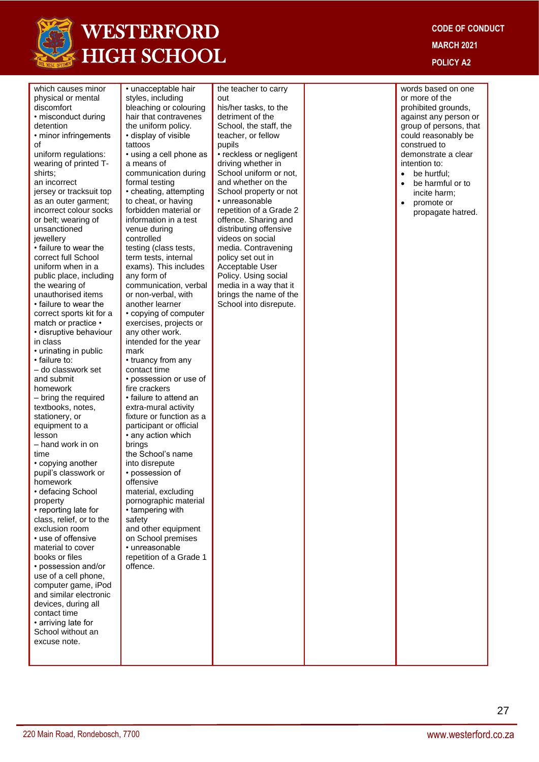

**CODE OF CONDUCT MARCH 2021 POLICY A2**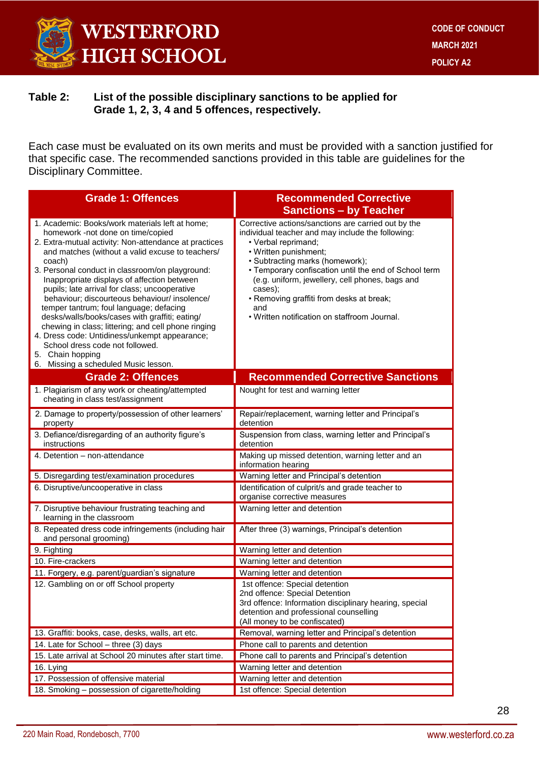

#### **Table 2: List of the possible disciplinary sanctions to be applied for Grade 1, 2, 3, 4 and 5 offences, respectively.**

Each case must be evaluated on its own merits and must be provided with a sanction justified for that specific case. The recommended sanctions provided in this table are guidelines for the Disciplinary Committee.

| <b>Grade 1: Offences</b>                                                                                                                                                                                                                                                                                                                                                                                                                                                                                                                                                                                                                                                                                            | <b>Recommended Corrective</b>                                                                                                                                                                                                                                                                                                                                                                                         |
|---------------------------------------------------------------------------------------------------------------------------------------------------------------------------------------------------------------------------------------------------------------------------------------------------------------------------------------------------------------------------------------------------------------------------------------------------------------------------------------------------------------------------------------------------------------------------------------------------------------------------------------------------------------------------------------------------------------------|-----------------------------------------------------------------------------------------------------------------------------------------------------------------------------------------------------------------------------------------------------------------------------------------------------------------------------------------------------------------------------------------------------------------------|
|                                                                                                                                                                                                                                                                                                                                                                                                                                                                                                                                                                                                                                                                                                                     | <b>Sanctions - by Teacher</b>                                                                                                                                                                                                                                                                                                                                                                                         |
| 1. Academic: Books/work materials left at home;<br>homework -not done on time/copied<br>2. Extra-mutual activity: Non-attendance at practices<br>and matches (without a valid excuse to teachers/<br>coach)<br>3. Personal conduct in classroom/on playground:<br>Inappropriate displays of affection between<br>pupils; late arrival for class; uncooperative<br>behaviour; discourteous behaviour/ insolence/<br>temper tantrum; foul language; defacing<br>desks/walls/books/cases with graffiti; eating/<br>chewing in class; littering; and cell phone ringing<br>4. Dress code: Untidiness/unkempt appearance;<br>School dress code not followed.<br>5. Chain hopping<br>6. Missing a scheduled Music lesson. | Corrective actions/sanctions are carried out by the<br>individual teacher and may include the following:<br>• Verbal reprimand;<br>• Written punishment;<br>• Subtracting marks (homework);<br>• Temporary confiscation until the end of School term<br>(e.g. uniform, jewellery, cell phones, bags and<br>cases);<br>• Removing graffiti from desks at break;<br>and<br>• Written notification on staffroom Journal. |
| <b>Grade 2: Offences</b>                                                                                                                                                                                                                                                                                                                                                                                                                                                                                                                                                                                                                                                                                            | <b>Recommended Corrective Sanctions</b>                                                                                                                                                                                                                                                                                                                                                                               |
| 1. Plagiarism of any work or cheating/attempted<br>cheating in class test/assignment                                                                                                                                                                                                                                                                                                                                                                                                                                                                                                                                                                                                                                | Nought for test and warning letter                                                                                                                                                                                                                                                                                                                                                                                    |
| 2. Damage to property/possession of other learners'<br>property                                                                                                                                                                                                                                                                                                                                                                                                                                                                                                                                                                                                                                                     | Repair/replacement, warning letter and Principal's<br>detention                                                                                                                                                                                                                                                                                                                                                       |
| 3. Defiance/disregarding of an authority figure's<br>instructions                                                                                                                                                                                                                                                                                                                                                                                                                                                                                                                                                                                                                                                   | Suspension from class, warning letter and Principal's<br>detention                                                                                                                                                                                                                                                                                                                                                    |
| 4. Detention - non-attendance                                                                                                                                                                                                                                                                                                                                                                                                                                                                                                                                                                                                                                                                                       | Making up missed detention, warning letter and an<br>information hearing                                                                                                                                                                                                                                                                                                                                              |
| 5. Disregarding test/examination procedures                                                                                                                                                                                                                                                                                                                                                                                                                                                                                                                                                                                                                                                                         | Warning letter and Principal's detention                                                                                                                                                                                                                                                                                                                                                                              |
| 6. Disruptive/uncooperative in class                                                                                                                                                                                                                                                                                                                                                                                                                                                                                                                                                                                                                                                                                | Identification of culprit/s and grade teacher to<br>organise corrective measures                                                                                                                                                                                                                                                                                                                                      |
| 7. Disruptive behaviour frustrating teaching and<br>learning in the classroom                                                                                                                                                                                                                                                                                                                                                                                                                                                                                                                                                                                                                                       | Warning letter and detention                                                                                                                                                                                                                                                                                                                                                                                          |
| 8. Repeated dress code infringements (including hair<br>and personal grooming)                                                                                                                                                                                                                                                                                                                                                                                                                                                                                                                                                                                                                                      | After three (3) warnings, Principal's detention                                                                                                                                                                                                                                                                                                                                                                       |
| 9. Fighting                                                                                                                                                                                                                                                                                                                                                                                                                                                                                                                                                                                                                                                                                                         | Warning letter and detention                                                                                                                                                                                                                                                                                                                                                                                          |
| 10. Fire-crackers                                                                                                                                                                                                                                                                                                                                                                                                                                                                                                                                                                                                                                                                                                   | Warning letter and detention                                                                                                                                                                                                                                                                                                                                                                                          |
| 11. Forgery, e.g. parent/guardian's signature                                                                                                                                                                                                                                                                                                                                                                                                                                                                                                                                                                                                                                                                       | Warning letter and detention                                                                                                                                                                                                                                                                                                                                                                                          |
| 12. Gambling on or off School property                                                                                                                                                                                                                                                                                                                                                                                                                                                                                                                                                                                                                                                                              | 1st offence: Special detention<br>2nd offence: Special Detention<br>3rd offence: Information disciplinary hearing, special<br>detention and professional counselling<br>(All money to be confiscated)                                                                                                                                                                                                                 |
| 13. Graffiti: books, case, desks, walls, art etc.                                                                                                                                                                                                                                                                                                                                                                                                                                                                                                                                                                                                                                                                   | Removal, warning letter and Principal's detention                                                                                                                                                                                                                                                                                                                                                                     |
| 14. Late for School - three (3) days                                                                                                                                                                                                                                                                                                                                                                                                                                                                                                                                                                                                                                                                                | Phone call to parents and detention                                                                                                                                                                                                                                                                                                                                                                                   |
| 15. Late arrival at School 20 minutes after start time.                                                                                                                                                                                                                                                                                                                                                                                                                                                                                                                                                                                                                                                             | Phone call to parents and Principal's detention                                                                                                                                                                                                                                                                                                                                                                       |
| 16. Lying                                                                                                                                                                                                                                                                                                                                                                                                                                                                                                                                                                                                                                                                                                           | Warning letter and detention                                                                                                                                                                                                                                                                                                                                                                                          |
| 17. Possession of offensive material                                                                                                                                                                                                                                                                                                                                                                                                                                                                                                                                                                                                                                                                                | Warning letter and detention                                                                                                                                                                                                                                                                                                                                                                                          |
| 18. Smoking - possession of cigarette/holding                                                                                                                                                                                                                                                                                                                                                                                                                                                                                                                                                                                                                                                                       | 1st offence: Special detention                                                                                                                                                                                                                                                                                                                                                                                        |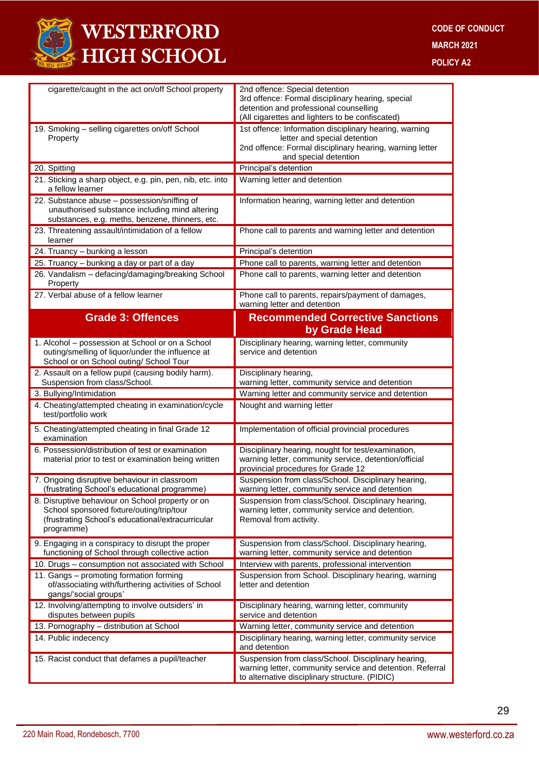

| cigarette/caught in the act on/off School property                                                                                                               | 2nd offence: Special detention<br>3rd offence: Formal disciplinary hearing, special<br>detention and professional counselling<br>(All cigarettes and lighters to be confiscated) |
|------------------------------------------------------------------------------------------------------------------------------------------------------------------|----------------------------------------------------------------------------------------------------------------------------------------------------------------------------------|
| 19. Smoking - selling cigarettes on/off School<br>Property                                                                                                       | 1st offence: Information disciplinary hearing, warning<br>letter and special detention<br>2nd offence: Formal disciplinary hearing, warning letter<br>and special detention      |
| 20. Spitting                                                                                                                                                     | Principal's detention                                                                                                                                                            |
| 21. Sticking a sharp object, e.g. pin, pen, nib, etc. into<br>a fellow learner                                                                                   | Warning letter and detention                                                                                                                                                     |
| 22. Substance abuse - possession/sniffing of<br>unauthorised substance including mind altering<br>substances, e.g. meths, benzene, thinners, etc.                | Information hearing, warning letter and detention                                                                                                                                |
| 23. Threatening assault/intimidation of a fellow<br>learner                                                                                                      | Phone call to parents and warning letter and detention                                                                                                                           |
| 24. Truancy - bunking a lesson                                                                                                                                   | Principal's detention                                                                                                                                                            |
| 25. Truancy - bunking a day or part of a day                                                                                                                     | Phone call to parents, warning letter and detention                                                                                                                              |
| 26. Vandalism - defacing/damaging/breaking School<br>Property                                                                                                    | Phone call to parents, warning letter and detention                                                                                                                              |
| 27. Verbal abuse of a fellow learner                                                                                                                             | Phone call to parents, repairs/payment of damages,<br>warning letter and detention                                                                                               |
| <b>Grade 3: Offences</b>                                                                                                                                         | <b>Recommended Corrective Sanctions</b><br>by Grade Head                                                                                                                         |
| 1. Alcohol - possession at School or on a School<br>outing/smelling of liquor/under the influence at<br>School or on School outing/ School Tour                  | Disciplinary hearing, warning letter, community<br>service and detention                                                                                                         |
| 2. Assault on a fellow pupil (causing bodily harm).<br>Suspension from class/School.                                                                             | Disciplinary hearing,<br>warning letter, community service and detention                                                                                                         |
| 3. Bullying/Intimidation                                                                                                                                         | Warning letter and community service and detention                                                                                                                               |
| 4. Cheating/attempted cheating in examination/cycle<br>test/portfolio work                                                                                       | Nought and warning letter                                                                                                                                                        |
| 5. Cheating/attempted cheating in final Grade 12<br>examination                                                                                                  | Implementation of official provincial procedures                                                                                                                                 |
| 6. Possession/distribution of test or examination<br>material prior to test or examination being written                                                         | Disciplinary hearing, nought for test/examination,<br>warning letter, community service, detention/official<br>provincial procedures for Grade 12                                |
| 7. Ongoing disruptive behaviour in classroom<br>(frustrating School's educational programme)                                                                     | Suspension from class/School. Disciplinary hearing,<br>warning letter, community service and detention                                                                           |
| 8. Disruptive behaviour on School property or on<br>School sponsored fixture/outing/trip/tour<br>(frustrating School's educational/extracurricular<br>programme) | Suspension from class/School. Disciplinary hearing,<br>warning letter, community service and detention.<br>Removal from activity.                                                |
| 9. Engaging in a conspiracy to disrupt the proper<br>functioning of School through collective action                                                             | Suspension from class/School. Disciplinary hearing,<br>warning letter, community service and detention                                                                           |
| 10. Drugs - consumption not associated with School                                                                                                               | Interview with parents, professional intervention                                                                                                                                |
| 11. Gangs - promoting formation forming<br>of/associating with/furthering activities of School<br>gangs/'social groups'                                          | Suspension from School. Disciplinary hearing, warning<br>letter and detention                                                                                                    |
| 12. Involving/attempting to involve outsiders' in<br>disputes between pupils                                                                                     | Disciplinary hearing, warning letter, community<br>service and detention                                                                                                         |
| 13. Pornography - distribution at School                                                                                                                         | Warning letter, community service and detention                                                                                                                                  |
| 14. Public indecency                                                                                                                                             | Disciplinary hearing, warning letter, community service<br>and detention                                                                                                         |
| 15. Racist conduct that defames a pupil/teacher                                                                                                                  | Suspension from class/School. Disciplinary hearing,<br>warning letter, community service and detention. Referral<br>to alternative disciplinary structure. (PIDIC)               |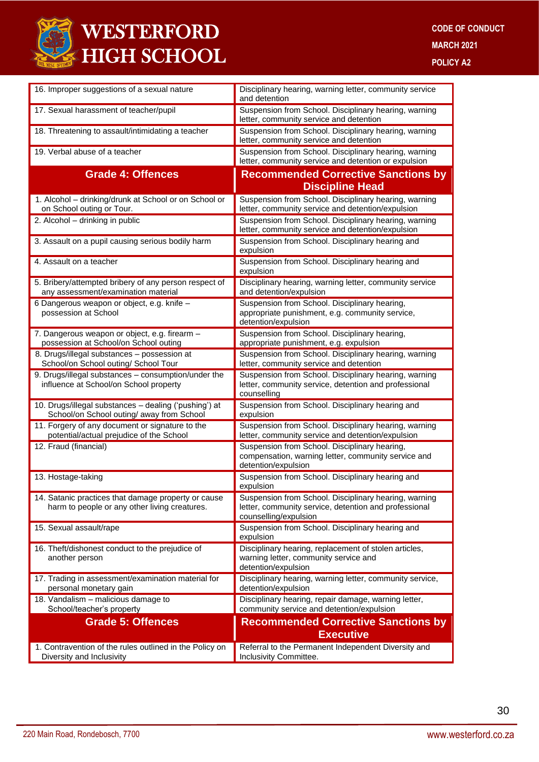

| 16. Improper suggestions of a sexual nature                                                          | Disciplinary hearing, warning letter, community service<br>and detention                                                                |
|------------------------------------------------------------------------------------------------------|-----------------------------------------------------------------------------------------------------------------------------------------|
| 17. Sexual harassment of teacher/pupil                                                               | Suspension from School. Disciplinary hearing, warning<br>letter, community service and detention                                        |
| 18. Threatening to assault/intimidating a teacher                                                    | Suspension from School. Disciplinary hearing, warning<br>letter, community service and detention                                        |
| 19. Verbal abuse of a teacher                                                                        | Suspension from School. Disciplinary hearing, warning<br>letter, community service and detention or expulsion                           |
| <b>Grade 4: Offences</b>                                                                             | <b>Recommended Corrective Sanctions by</b><br><b>Discipline Head</b>                                                                    |
| 1. Alcohol - drinking/drunk at School or on School or<br>on School outing or Tour.                   | Suspension from School. Disciplinary hearing, warning<br>letter, community service and detention/expulsion                              |
| 2. Alcohol - drinking in public                                                                      | Suspension from School. Disciplinary hearing, warning<br>letter, community service and detention/expulsion                              |
| 3. Assault on a pupil causing serious bodily harm                                                    | Suspension from School. Disciplinary hearing and<br>expulsion                                                                           |
| 4. Assault on a teacher                                                                              | Suspension from School. Disciplinary hearing and<br>expulsion                                                                           |
| 5. Bribery/attempted bribery of any person respect of<br>any assessment/examination material         | Disciplinary hearing, warning letter, community service<br>and detention/expulsion                                                      |
| 6 Dangerous weapon or object, e.g. knife -<br>possession at School                                   | Suspension from School. Disciplinary hearing,<br>appropriate punishment, e.g. community service,<br>detention/expulsion                 |
| 7. Dangerous weapon or object, e.g. firearm -<br>possession at School/on School outing               | Suspension from School. Disciplinary hearing,<br>appropriate punishment, e.g. expulsion                                                 |
| 8. Drugs/illegal substances - possession at<br>School/on School outing/ School Tour                  | Suspension from School. Disciplinary hearing, warning<br>letter, community service and detention                                        |
| 9. Drugs/illegal substances - consumption/under the<br>influence at School/on School property        | Suspension from School. Disciplinary hearing, warning<br>letter, community service, detention and professional<br>counselling           |
| 10. Drugs/illegal substances - dealing ('pushing') at<br>School/on School outing/ away from School   | Suspension from School. Disciplinary hearing and<br>expulsion                                                                           |
| 11. Forgery of any document or signature to the<br>potential/actual prejudice of the School          | Suspension from School. Disciplinary hearing, warning<br>letter, community service and detention/expulsion                              |
| 12. Fraud (financial)                                                                                | Suspension from School. Disciplinary hearing,<br>compensation, warning letter, community service and<br>detention/expulsion             |
| 13. Hostage-taking                                                                                   | Suspension from School. Disciplinary hearing and<br>expulsion                                                                           |
| 14. Satanic practices that damage property or cause<br>harm to people or any other living creatures. | Suspension from School. Disciplinary hearing, warning<br>letter, community service, detention and professional<br>counselling/expulsion |
| 15. Sexual assault/rape                                                                              | Suspension from School. Disciplinary hearing and<br>expulsion                                                                           |
| 16. Theft/dishonest conduct to the prejudice of<br>another person                                    | Disciplinary hearing, replacement of stolen articles,<br>warning letter, community service and<br>detention/expulsion                   |
| 17. Trading in assessment/examination material for<br>personal monetary gain                         | Disciplinary hearing, warning letter, community service,<br>detention/expulsion                                                         |
| 18. Vandalism - malicious damage to<br>School/teacher's property                                     | Disciplinary hearing, repair damage, warning letter,<br>community service and detention/expulsion                                       |
| <b>Grade 5: Offences</b>                                                                             | <b>Recommended Corrective Sanctions by</b><br><b>Executive</b>                                                                          |
| 1. Contravention of the rules outlined in the Policy on<br>Diversity and Inclusivity                 | Referral to the Permanent Independent Diversity and<br>Inclusivity Committee.                                                           |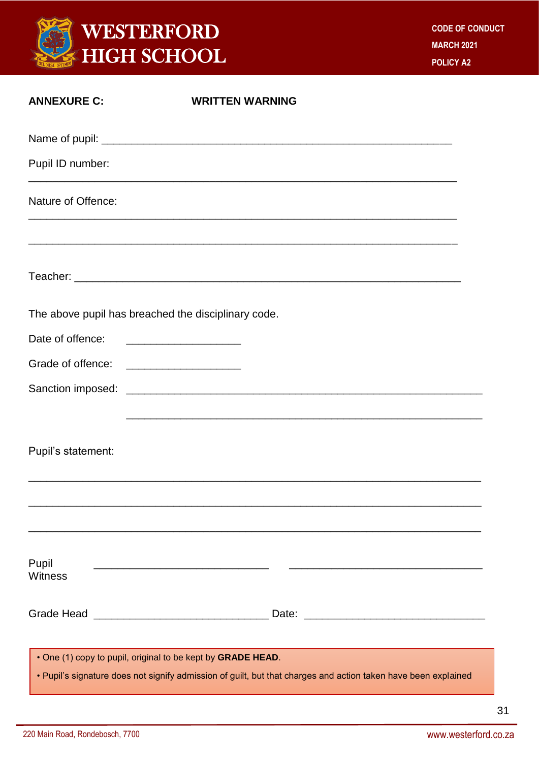

| <b>ANNEXURE C:</b>                                  | <b>WRITTEN WARNING</b>                                                                                                                                                        |  |
|-----------------------------------------------------|-------------------------------------------------------------------------------------------------------------------------------------------------------------------------------|--|
|                                                     |                                                                                                                                                                               |  |
| Pupil ID number:                                    |                                                                                                                                                                               |  |
| Nature of Offence:                                  |                                                                                                                                                                               |  |
|                                                     |                                                                                                                                                                               |  |
| The above pupil has breached the disciplinary code. |                                                                                                                                                                               |  |
| Date of offence:                                    |                                                                                                                                                                               |  |
| Grade of offence: ____________________              |                                                                                                                                                                               |  |
|                                                     | <u> 1989 - Johann Stoff, amerikansk politiker (* 1908)</u>                                                                                                                    |  |
| Pupil's statement:                                  |                                                                                                                                                                               |  |
|                                                     |                                                                                                                                                                               |  |
| Pupil<br>Witness                                    | <u> 1989 - Johann John Stone, markin film yn y brening yn y brening yn y brening yn y brening yn y brening yn y b</u>                                                         |  |
|                                                     |                                                                                                                                                                               |  |
|                                                     | . One (1) copy to pupil, original to be kept by GRADE HEAD.<br>• Pupil's signature does not signify admission of guilt, but that charges and action taken have been explained |  |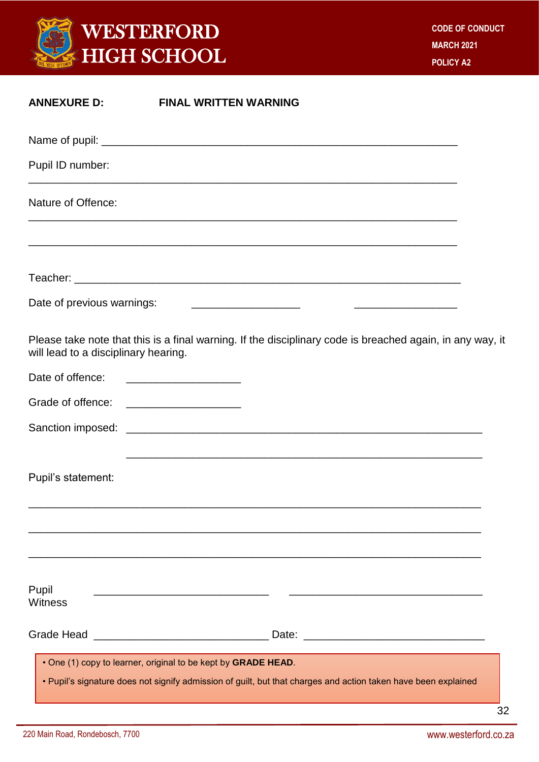

| <b>ANNEXURE D:</b>                        | <b>FINAL WRITTEN WARNING</b>                                                                                                                                                    |
|-------------------------------------------|---------------------------------------------------------------------------------------------------------------------------------------------------------------------------------|
|                                           |                                                                                                                                                                                 |
| Pupil ID number:                          |                                                                                                                                                                                 |
| Nature of Offence:                        |                                                                                                                                                                                 |
|                                           |                                                                                                                                                                                 |
| Date of previous warnings:                | <u> 1980 - Andrea Aonaichte ann an t-</u> ann an Comhair ann an Comhair ann an Comhair ann an Comhair ann an Comhair                                                            |
| will lead to a disciplinary hearing.      | Please take note that this is a final warning. If the disciplinary code is breached again, in any way, it                                                                       |
| Date of offence:                          | <u> 1980 - Jan Barbara, mandalar para masjid a</u>                                                                                                                              |
| Grade of offence: _______________________ |                                                                                                                                                                                 |
|                                           |                                                                                                                                                                                 |
| Pupil's statement:                        |                                                                                                                                                                                 |
|                                           |                                                                                                                                                                                 |
| Pupil<br><b>Witness</b>                   | <u> 1989 - Johann Stein, marwolaethau a bhann an t-Amhain an t-Amhain an t-Amhain an t-Amhain an t-Amhain an t-A</u>                                                            |
|                                           |                                                                                                                                                                                 |
|                                           | . One (1) copy to learner, original to be kept by GRADE HEAD.<br>• Pupil's signature does not signify admission of guilt, but that charges and action taken have been explained |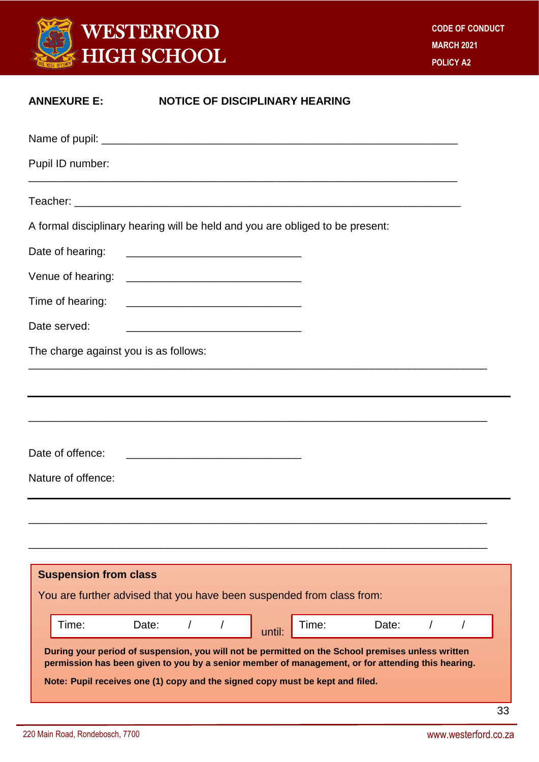

| <b>ANNEXURE E:</b>                     | <b>NOTICE OF DISCIPLINARY HEARING</b>                                                                                                                                                                                                                                                   |
|----------------------------------------|-----------------------------------------------------------------------------------------------------------------------------------------------------------------------------------------------------------------------------------------------------------------------------------------|
|                                        |                                                                                                                                                                                                                                                                                         |
| Pupil ID number:                       |                                                                                                                                                                                                                                                                                         |
|                                        |                                                                                                                                                                                                                                                                                         |
|                                        | A formal disciplinary hearing will be held and you are obliged to be present:                                                                                                                                                                                                           |
| Date of hearing:                       | <u> 2000 - Jan James James James James James James James James James James James James James James James James Ja</u>                                                                                                                                                                   |
|                                        |                                                                                                                                                                                                                                                                                         |
| Time of hearing:                       |                                                                                                                                                                                                                                                                                         |
| Date served:                           | <u> 1989 - Johann John Harry, mars and de format and design and design and design and design and design and design </u>                                                                                                                                                                 |
| The charge against you is as follows:  |                                                                                                                                                                                                                                                                                         |
| Date of offence:<br>Nature of offence: | ,我们也不能在这里的时候,我们也不能在这里的时候,我们也不能在这里的时候,我们也不能会不能在这里的时候,我们也不能会不能会不能会不能会不能会不能会不能会不能会不                                                                                                                                                                                                        |
|                                        |                                                                                                                                                                                                                                                                                         |
| <b>Suspension from class</b>           | You are further advised that you have been suspended from class from:                                                                                                                                                                                                                   |
| Time:                                  | Time:<br>Date:<br>Date:<br>until:                                                                                                                                                                                                                                                       |
|                                        | During your period of suspension, you will not be permitted on the School premises unless written<br>permission has been given to you by a senior member of management, or for attending this hearing.<br>Note: Pupil receives one (1) copy and the signed copy must be kept and filed. |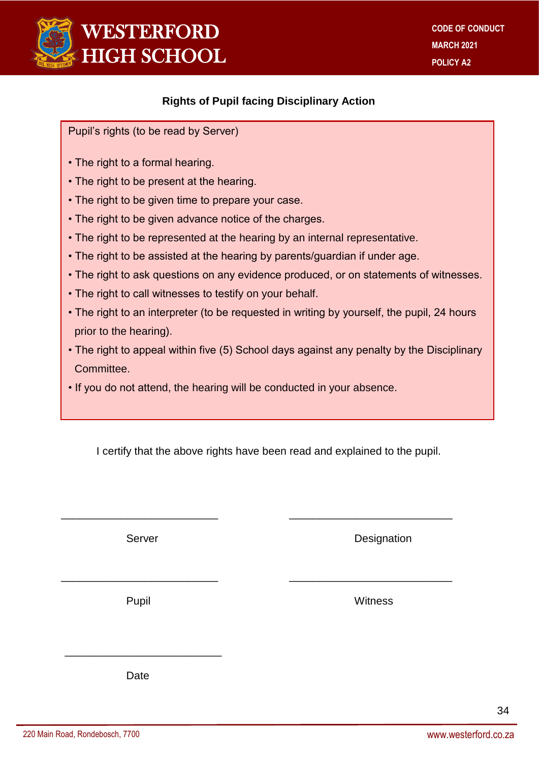

#### **Rights of Pupil facing Disciplinary Action**

Pupil's rights (to be read by Server)

- The right to a formal hearing.
- The right to be present at the hearing.
- The right to be given time to prepare your case.
- The right to be given advance notice of the charges.
- The right to be represented at the hearing by an internal representative.
- The right to be assisted at the hearing by parents/guardian if under age.
- The right to ask questions on any evidence produced, or on statements of witnesses.
- The right to call witnesses to testify on your behalf.
- The right to an interpreter (to be requested in writing by yourself, the pupil, 24 hours prior to the hearing).
- The right to appeal within five (5) School days against any penalty by the Disciplinary Committee.
- If you do not attend, the hearing will be conducted in your absence.

I certify that the above rights have been read and explained to the pupil.

\_\_\_\_\_\_\_\_\_\_\_\_\_\_\_\_\_\_\_\_\_\_\_\_\_\_ \_\_\_\_\_\_\_\_\_\_\_\_\_\_\_\_\_\_\_\_\_\_\_\_\_\_\_

\_\_\_\_\_\_\_\_\_\_\_\_\_\_\_\_\_\_\_\_\_\_\_\_\_\_ \_\_\_\_\_\_\_\_\_\_\_\_\_\_\_\_\_\_\_\_\_\_\_\_\_\_\_

Server **Designation** 

Pupil **Pupil Accord Pupil Accord Pupil Accord Pupil Accord Pupil Accord Pupil Accord Pupil Accord Pupil Accord Pu** 

Date

 $\frac{1}{\sqrt{2}}$  ,  $\frac{1}{\sqrt{2}}$  ,  $\frac{1}{\sqrt{2}}$  ,  $\frac{1}{\sqrt{2}}$  ,  $\frac{1}{\sqrt{2}}$  ,  $\frac{1}{\sqrt{2}}$  ,  $\frac{1}{\sqrt{2}}$  ,  $\frac{1}{\sqrt{2}}$  ,  $\frac{1}{\sqrt{2}}$  ,  $\frac{1}{\sqrt{2}}$  ,  $\frac{1}{\sqrt{2}}$  ,  $\frac{1}{\sqrt{2}}$  ,  $\frac{1}{\sqrt{2}}$  ,  $\frac{1}{\sqrt{2}}$  ,  $\frac{1}{\sqrt{2}}$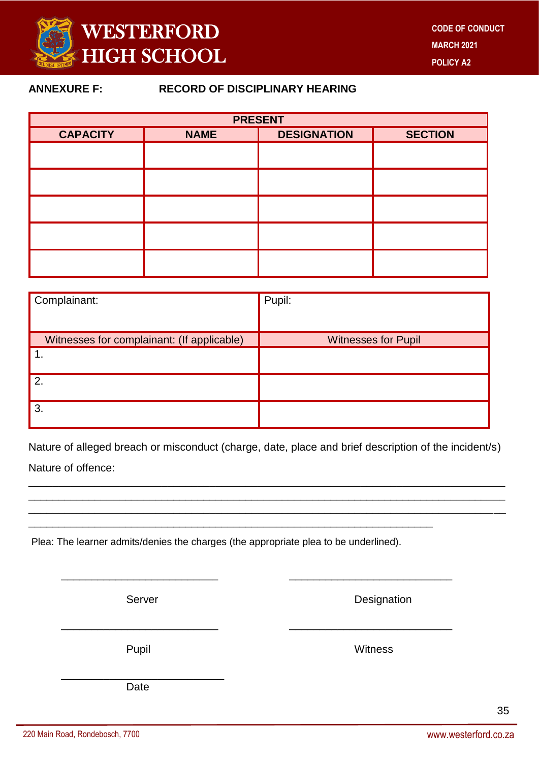

#### **ANNEXURE F: RECORD OF DISCIPLINARY HEARING**

| <b>PRESENT</b>  |                                                     |  |  |  |  |
|-----------------|-----------------------------------------------------|--|--|--|--|
| <b>CAPACITY</b> | <b>DESIGNATION</b><br><b>SECTION</b><br><b>NAME</b> |  |  |  |  |
|                 |                                                     |  |  |  |  |
|                 |                                                     |  |  |  |  |
|                 |                                                     |  |  |  |  |
|                 |                                                     |  |  |  |  |
|                 |                                                     |  |  |  |  |

| Complainant:                               | Pupil:                     |
|--------------------------------------------|----------------------------|
|                                            |                            |
| Witnesses for complainant: (If applicable) | <b>Witnesses for Pupil</b> |
|                                            |                            |
| 2.                                         |                            |
| 3.                                         |                            |

Nature of alleged breach or misconduct (charge, date, place and brief description of the incident/s) Nature of offence:

\_\_\_\_\_\_\_\_\_\_\_\_\_\_\_\_\_\_\_\_\_\_\_\_\_\_\_\_\_\_\_\_\_\_\_\_\_\_\_\_\_\_\_\_\_\_\_\_\_\_\_\_\_\_\_\_\_\_\_\_\_\_\_\_\_\_\_\_\_\_\_\_\_\_\_\_\_\_\_ \_\_\_\_\_\_\_\_\_\_\_\_\_\_\_\_\_\_\_\_\_\_\_\_\_\_\_\_\_\_\_\_\_\_\_\_\_\_\_\_\_\_\_\_\_\_\_\_\_\_\_\_\_\_\_\_\_\_\_\_\_\_\_\_\_\_\_\_\_\_\_\_\_\_\_\_\_\_\_ \_\_\_\_\_\_\_\_\_\_\_\_\_\_\_\_\_\_\_\_\_\_\_\_\_\_\_\_\_\_\_\_\_\_\_\_\_\_\_\_\_\_\_\_\_\_\_\_\_\_\_\_\_\_\_\_\_\_\_\_\_\_\_\_\_\_\_\_\_\_\_\_\_\_\_\_\_\_\_

\_\_\_\_\_\_\_\_\_\_\_\_\_\_\_\_\_\_\_\_\_\_\_\_\_\_ \_\_\_\_\_\_\_\_\_\_\_\_\_\_\_\_\_\_\_\_\_\_\_\_\_\_\_

\_\_\_\_\_\_\_\_\_\_\_\_\_\_\_\_\_\_\_\_\_\_\_\_\_\_ \_\_\_\_\_\_\_\_\_\_\_\_\_\_\_\_\_\_\_\_\_\_\_\_\_\_\_

Plea: The learner admits/denies the charges (the appropriate plea to be underlined).

\_\_\_\_\_\_\_\_\_\_\_\_\_\_\_\_\_\_\_\_\_\_\_\_\_\_\_\_\_\_\_\_\_\_\_\_\_\_\_\_\_\_\_\_\_\_\_\_\_\_\_\_\_\_\_\_\_\_\_\_\_\_\_\_\_\_\_

Server **Designation** 

Pupil **Pupil** Witness

\_\_\_\_\_\_\_\_\_\_\_\_\_\_\_\_\_\_\_\_\_\_\_\_\_\_\_ Date